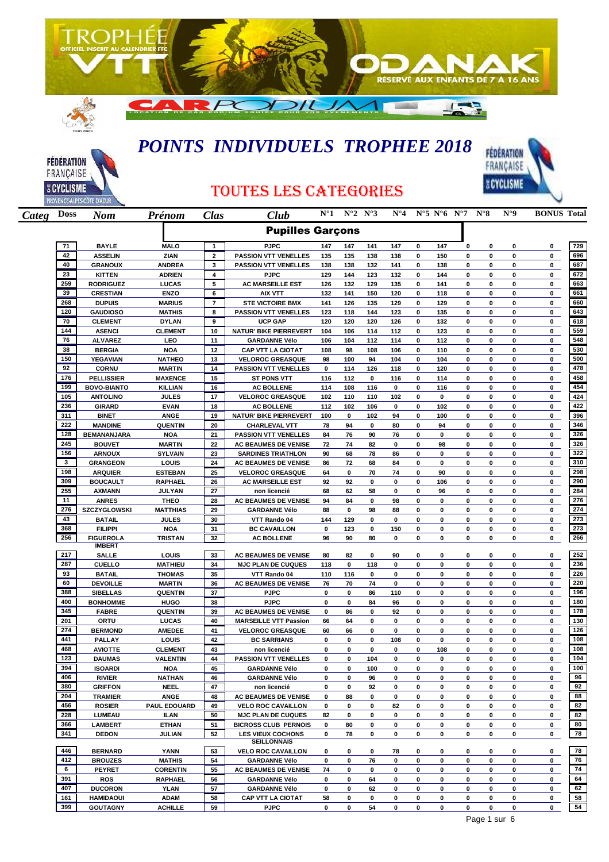



## *POINTS INDIVIDUELS TROPHEE 2018*



## TOUTES LES CATEGORIES

| Categ Doss |            | <b>Nom</b>                      | Prénom                         | <b>Clas</b>             | Club                                                 | $N^{\circ}1$ | $N^{\circ}2 N^{\circ}3$ |                | $N^{\circ}4$ |           |             | $N^{\circ}5 N^{\circ}6 N^{\circ}7$ | $N^{\circ}8$ | $N^{\circ}9$ | <b>BONUS Total</b> |            |
|------------|------------|---------------------------------|--------------------------------|-------------------------|------------------------------------------------------|--------------|-------------------------|----------------|--------------|-----------|-------------|------------------------------------|--------------|--------------|--------------------|------------|
|            |            |                                 |                                |                         | <b>Pupilles Garçons</b>                              |              |                         |                |              |           |             |                                    |              |              |                    |            |
|            | 71         | <b>BAYLE</b>                    | <b>MALO</b>                    | $\mathbf{1}$            | <b>PJPC</b>                                          | 147          | 147                     | 141            | 147          | $\pmb{0}$ | 147         | $\mathbf 0$                        | 0            | 0            | 0                  | 729        |
|            | 42         | <b>ASSELIN</b>                  | ZIAN                           | $\overline{\mathbf{2}}$ | <b>PASSION VTT VENELLES</b>                          | 135          | 135                     | 138            | 138          | 0         | 150         | 0                                  | 0            | 0            | 0                  | 696        |
|            | 40         | <b>GRANOUX</b>                  | <b>ANDREA</b>                  | 3                       | <b>PASSION VTT VENELLES</b>                          | 138          | 138                     | 132            | 141          | 0         | 138         | 0                                  | 0            | 0            | 0                  | 687        |
|            | 23         | <b>KITTEN</b>                   | <b>ADRIEN</b>                  | 4                       | <b>PJPC</b>                                          | 129          | 144                     | 123            | 132          | 0         | 144         | 0                                  | 0            | 0            | 0                  | 672        |
|            | 259        | <b>RODRIGUEZ</b>                | LUCAS                          | 5                       | <b>AC MARSEILLE EST</b>                              | 126          | 132                     | 129            | 135          | 0         | 141         | 0                                  | 0            | 0            | 0                  | 663        |
|            | 39         | <b>CRESTIAN</b>                 | <b>ENZO</b>                    | 6                       | <b>AIX VTT</b>                                       | 132          | 141                     | 150            | 120          | 0         | 118         | 0                                  | 0            | 0            | 0                  | 661        |
|            | 268        | <b>DUPUIS</b>                   | <b>MARIUS</b>                  | $\overline{7}$          | <b>STE VICTOIRE BMX</b>                              | 141          | 126                     | 135            | 129          | 0         | 129         | 0                                  | 0            | 0            | 0                  | 660        |
|            | 120        | <b>GAUDIOSO</b>                 | <b>MATHIS</b>                  | 8                       | <b>PASSION VTT VENELLES</b>                          | 123          | 118                     | 144            | 123          | 0         | 135         | 0                                  | 0            | 0            | 0                  | 643        |
|            | 70<br>144  | <b>CLEMENT</b><br><b>ASENCI</b> | <b>DYLAN</b>                   | 9<br>10                 | <b>UCP GAP</b><br>NATUR' BIKE PIERREVERT             | 120<br>104   | 120<br>106              | 120            | 126<br>112   | 0<br>0    | 132<br>123  | 0<br>0                             | 0<br>0       | 0<br>0       | 0<br>0             | 618<br>559 |
|            | 76         | <b>ALVAREZ</b>                  | <b>CLEMENT</b><br>LEO          | 11                      | <b>GARDANNE Vélo</b>                                 | 106          | 104                     | 114<br>112     | 114          | 0         | 112         | 0                                  | 0            | 0            | 0                  | 548        |
|            | 38         | <b>BERGIA</b>                   | <b>NOA</b>                     | 12                      | <b>CAP VTT LA CIOTAT</b>                             | 108          | 98                      | 108            | 106          | 0         | 110         | 0                                  | 0            | 0            | 0                  | 530        |
|            | 150        | <b>YEGAVIAN</b>                 | <b>NATHEO</b>                  | 13                      | <b>VELOROC GREASQUE</b>                              | 98           | 100                     | 94             | 104          | 0         | 104         | 0                                  | 0            | 0            | 0                  | 500        |
|            | 92         | <b>CORNU</b>                    | <b>MARTIN</b>                  | 14                      | <b>PASSION VTT VENELLES</b>                          | 0            | 114                     | 126            | 118          | 0         | 120         | 0                                  | 0            | $\mathbf 0$  | 0                  | 478        |
|            | 176        | <b>PELLISSIER</b>               | <b>MAXENCE</b>                 | 15                      | <b>ST PONS VTT</b>                                   | 116          | 112                     | 0              | 116          | 0         | 114         | $\mathbf 0$                        | 0            | 0            | 0                  | 458        |
|            | 199        | <b>BOVO-BIANTO</b>              | <b>KILLIAN</b>                 | 16                      | <b>AC BOLLENE</b>                                    | 114          | 108                     | 116            | 0            | 0         | 116         | $\mathbf 0$                        | 0            | 0            | 0                  | 454        |
|            | 105        | <b>ANTOLINO</b>                 | <b>JULES</b>                   | 17                      | <b>VELOROC GREASQUE</b>                              | 102          | 110                     | 110            | 102          | 0         | 0           | 0                                  | 0            | 0            | 0                  | 424        |
|            | 236        | <b>GIRARD</b>                   | <b>EVAN</b>                    | 18                      | <b>AC BOLLENE</b>                                    | 112          | 102                     | 106            | 0            | 0         | 102         | 0                                  | 0            | 0            | 0                  | 422        |
|            | 311        | <b>BINET</b>                    | <b>ANGE</b>                    | 19                      | NATUR' BIKE PIERREVERT                               | 100          | 0                       | 102            | 94           | 0         | 100         | 0                                  | 0            | 0            | 0                  | 396        |
|            | 222        | <b>MANDINE</b>                  | <b>QUENTIN</b>                 | 20                      | <b>CHARLEVAL VTT</b>                                 | 78           | 94                      | 0              | 80           | 0         | 94          | 0                                  | 0            | 0            | 0                  | 346        |
|            | 128        | BEMANANJARA                     | <b>NOA</b>                     | 21                      | <b>PASSION VTT VENELLES</b>                          | 84           | 76                      | 90             | 76           | 0         | 0           | 0                                  | 0            | 0            | 0                  | 326        |
|            | 245        | <b>BOUVET</b>                   | <b>MARTIN</b>                  | 22                      | AC BEAUMES DE VENISE                                 | 72           | 74                      | 82             | 0            | 0         | 98          | 0                                  | 0            | 0            | 0                  | 326        |
|            | 156        | <b>ARNOUX</b>                   | <b>SYLVAIN</b>                 | 23                      | <b>SARDINES TRIATHLON</b>                            | 90           | 68                      | 78             | 86           | 0         | 0           | 0                                  | 0            | 0            | 0                  | 322        |
|            | 3          | <b>GRANGEON</b>                 | LOUIS                          | 24                      | <b>AC BEAUMES DE VENISE</b>                          | 86           | 72                      | 68             | 84           | 0         | 0           | $\mathbf 0$                        | 0            | 0            | 0                  | 310        |
|            | 198        | <b>ARQUIER</b>                  | <b>ESTEBAN</b>                 | 25                      | <b>VELOROC GREASQUE</b>                              | 64           | 0                       | 70             | 74           | 0         | 90          | 0                                  | 0            | 0            | 0                  | 298        |
|            | 309        | <b>BOUCAULT</b>                 | <b>RAPHAEL</b>                 | 26                      | <b>AC MARSEILLE EST</b>                              | 92           | 92                      | 0              | 0            | 0         | 106         | 0                                  | 0            | 0            | 0                  | 290        |
|            | 255        | <b>AXMANN</b>                   | JULYAN                         | 27                      | non licencié                                         | 68           | 62                      | 58             | 0            | 0         | 96          | 0                                  | 0            | 0            | 0                  | 284        |
|            | 11         | <b>ANRES</b>                    | <b>THEO</b>                    | 28                      | AC BEAUMES DE VENISE                                 | 94           | 84                      | 0              | 98           | 0         | 0           | 0                                  | 0            | 0            | 0                  | 276        |
|            | 276<br>43  | SZCZYGLOWSKI                    | <b>MATTHIAS</b>                | 29                      | <b>GARDANNE Vélo</b>                                 | 88           | 0                       | 98             | 88           | 0         | 0           | 0<br>$\mathbf 0$                   | 0            | 0            | 0                  | 274<br>273 |
|            | 368        | <b>BATAIL</b><br><b>FILIPPI</b> | <b>JULES</b><br><b>NOA</b>     | 30<br>31                | VTT Rando 04<br><b>BC CAVAILLON</b>                  | 144<br>0     | 129<br>123              | 0<br>$\pmb{0}$ | 0<br>150     | 0<br>0    | 0<br>0      | 0                                  | 0<br>0       | 0<br>0       | 0<br>0             | 273        |
|            | 256        | <b>FIGUEROLA</b>                | <b>TRISTAN</b>                 | 32                      | <b>AC BOLLENE</b>                                    | 96           | 90                      | 80             | 0            | 0         | 0           | $\mathbf 0$                        | 0            | 0            | 0                  | 266        |
|            |            | <b>IMBERT</b>                   |                                |                         |                                                      |              |                         |                |              |           |             |                                    |              |              |                    |            |
|            | 217        | <b>SALLE</b>                    | LOUIS                          | 33                      | AC BEAUMES DE VENISE                                 | 80           | 82                      | 0              | 90           | 0         | 0           | 0                                  | 0            | 0            | 0                  | 252        |
|            | 287        | <b>CUELLO</b>                   | <b>MATHIEU</b>                 | 34                      | <b>MJC PLAN DE CUQUES</b>                            | 118          | 0                       | 118            | 0            | 0         | $\pmb{0}$   | 0                                  | 0            | 0            | 0                  | 236        |
|            | 93         | <b>BATAIL</b>                   | <b>THOMAS</b>                  | 35                      | VTT Rando 04                                         | 110          | 116                     | 0              | 0            | 0         | 0           | 0                                  | 0            | 0            | 0                  | 226        |
|            | 60         | <b>DEVOILLE</b>                 | <b>MARTIN</b>                  | 36                      | AC BEAUMES DE VENISE                                 | 76           | 70                      | 74             | 0            | 0         | 0           | 0                                  | 0            | 0            | 0                  | 220        |
|            | 388        | <b>SIBELLAS</b>                 | <b>QUENTIN</b>                 | 37                      | <b>PJPC</b>                                          | 0            | 0                       | 86             | 110          | 0         | 0           | 0                                  | 0            | 0            | 0                  | 196        |
|            | 400        | <b>BONHOMME</b>                 | <b>HUGO</b>                    | 38                      | <b>PJPC</b>                                          | 0            | 0                       | 84             | 96           | 0         | 0           | 0                                  | 0            | 0            | 0                  | 180        |
|            | 345<br>201 | <b>FABRE</b><br>ORTU            | <b>QUENTIN</b><br><b>LUCAS</b> | 39<br>40                | AC BEAUMES DE VENISE<br><b>MARSEILLE VTT Passion</b> | 0<br>66      | 86<br>64                | 0<br>0         | 92<br>0      | 0<br>0    | 0<br>0      | 0<br>0                             | 0<br>0       | 0<br>0       | 0<br>0             | 178<br>130 |
|            | 274        | <b>BERMOND</b>                  | <b>AMEDEE</b>                  | 41                      | <b>VELOROC GREASQUE</b>                              | 60           | 66                      | 0              | 0            | 0         | 0           | 0                                  | 0            | 0            | 0                  | 126        |
|            | 441        | <b>PALLAY</b>                   | LOUIS                          | 42                      | <b>BC SARRIANS</b>                                   | 0            | 0                       | 0              | 108          | 0         | 0           | 0                                  | 0            | 0            | 0                  | 108        |
|            | 468        | <b>AVIOTTE</b>                  | <b>CLEMENT</b>                 | 43                      | non licencié                                         | 0            | $\mathbf 0$             | $\pmb{0}$      | 0            | 0         | 108         | 0                                  | 0            | 0            | 0                  | 108        |
|            | 123        | <b>DAUMAS</b>                   | <b>VALENTIN</b>                | 44                      | <b>PASSION VTT VENELLES</b>                          | 0            | 0                       | 104            | 0            | 0         | $\bf{0}$    | 0                                  | 0            | 0            | 0                  | 104        |
|            | 394        | <b>ISOARDI</b>                  | <b>NOA</b>                     | 45                      | <b>GARDANNE Vélo</b>                                 | 0            | 0                       | 100            | 0            | 0         | 0           | 0                                  | 0            | 0            | 0                  | 100        |
|            | 406        | <b>RIVIER</b>                   | <b>NATHAN</b>                  | 46                      | <b>GARDANNE Vélo</b>                                 | 0            | 0                       | 96             | 0            | 0         | 0           | 0                                  | 0            | 0            | 0                  | 96         |
|            | 380        | <b>GRIFFON</b>                  | <b>NEEL</b>                    | 47                      | non licencié                                         | 0            | 0                       | 92             | 0            | 0         | 0           | 0                                  | 0            | 0            | 0                  | 92         |
|            | 204        | <b>TRAMIER</b>                  | ANGE                           | 48                      | <b>AC BEAUMES DE VENISE</b>                          | 0            | 88                      | 0              | 0            | 0         | 0           | 0                                  | 0            | 0            | 0                  | 88         |
|            | 456        | <b>ROSIER</b>                   | <b>PAUL EDOUARD</b>            | 49                      | <b>VELO ROC CAVAILLON</b>                            | 0            | 0                       | 0              | 82           | 0         | 0           | 0                                  | 0            | 0            | 0                  | 82         |
|            | 228        | LUMEAU                          | ILAN                           | 50                      | <b>MJC PLAN DE CUQUES</b>                            | 82           | 0                       | 0              | 0            | 0         | $\mathbf 0$ | 0                                  | 0            | 0            | 0                  | 82         |
|            | 366        | <b>LAMBERT</b>                  | ETHAN                          | 51                      | <b>BICROSS CLUB PERNOIS</b>                          | 0            | 80                      | 0              | 0            | 0         | 0           | 0                                  | 0            | 0            | 0                  | 80         |
|            | 341        | <b>DEDON</b>                    | JULIAN                         | 52                      | <b>LES VIEUX COCHONS</b>                             | 0            | 78                      | 0              | 0            | 0         | 0           | 0                                  | 0            | 0            | 0                  | 78         |
|            | 446        | <b>BERNARD</b>                  | YANN                           | 53                      | SEILLONNAIS                                          |              |                         |                |              |           |             |                                    |              |              | 0                  | 78         |
|            | 412        | <b>BROUZES</b>                  | <b>MATHIS</b>                  | 54                      | <b>VELO ROC CAVAILLON</b>                            | 0<br>0       | 0<br>0                  | 0<br>76        | 78<br>0      | 0<br>0    | 0<br>0      | 0<br>0                             | 0<br>0       | 0<br>0       | 0                  | 76         |
|            | 6          | <b>PEYRET</b>                   | <b>CORENTIN</b>                | 55                      | <b>GARDANNE Vélo</b><br><b>AC BEAUMES DE VENISE</b>  | 74           | 0                       | 0              | 0            | 0         | 0           | 0                                  | 0            | 0            | 0                  | 74         |
|            | 391        | <b>ROS</b>                      | <b>RAPHAEL</b>                 | 56                      | <b>GARDANNE Vélo</b>                                 | 0            | 0                       | 64             | 0            | 0         | 0           | 0                                  | 0            | 0            | 0                  | 64         |
|            | 407        | <b>DUCORON</b>                  | YLAN                           | 57                      | <b>GARDANNE Vélo</b>                                 | 0            | 0                       | 62             | 0            | 0         | 0           | 0                                  | 0            | 0            | 0                  | 62         |
|            | 161        | <b>HAMIDAOUI</b>                | ADAM                           | 58                      | <b>CAP VTT LA CIOTAT</b>                             | 58           | 0                       | 0              | 0            | 0         | 0           | 0                                  | 0            | 0            | 0                  | 58         |
|            | 399        | <b>GOUTAGNY</b>                 | <b>ACHILLE</b>                 | 59                      | <b>PJPC</b>                                          | 0            | 0                       | 54             | 0            | 0         | 0           | 0                                  | 0            | 0            | 0                  | 54         |
|            |            |                                 |                                |                         |                                                      |              |                         |                |              |           |             |                                    |              |              |                    |            |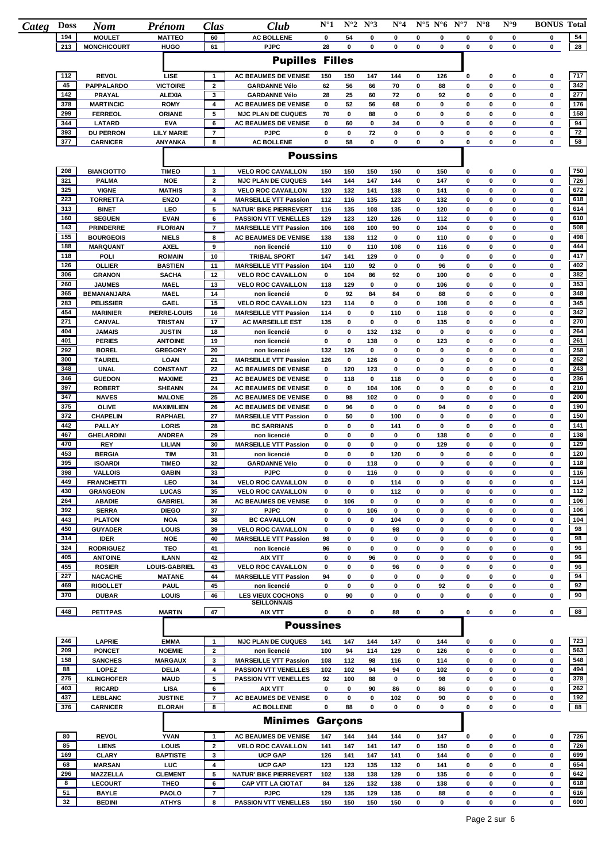| Categ | <b>Doss</b> | <b>Nom</b>                        | Prénom                                | Clas                           | Club                                                      | $N^{\circ}1$ |                    | $N^{\circ}2 N^{\circ}3$ | $N^{\circ}4$ |                          | $N^{\circ}5 N^{\circ}6 N^{\circ}7$ |        | $N^{\circ}8$ | $N^{\circ}9$ | <b>BONUS Total</b> |            |
|-------|-------------|-----------------------------------|---------------------------------------|--------------------------------|-----------------------------------------------------------|--------------|--------------------|-------------------------|--------------|--------------------------|------------------------------------|--------|--------------|--------------|--------------------|------------|
|       | 194         | <b>MOULET</b>                     | <b>MATTEO</b>                         | 60                             | <b>AC BOLLENE</b>                                         | 0            | 54                 | 0                       | 0            | 0                        | 0                                  | 0      | 0            | 0            | 0                  | 54         |
|       | 213         | <b>MONCHICOURT</b>                | <b>HUGO</b>                           | 61                             | <b>PJPC</b><br><b>Pupilles Filles</b>                     | 28           | 0                  | 0                       | 0            | $\bf{0}$                 | 0                                  | 0      | 0            | 0            | 0                  | 28         |
|       |             |                                   |                                       |                                |                                                           |              |                    |                         |              |                          |                                    |        |              |              |                    |            |
|       | 112<br>45   | <b>REVOL</b><br><b>PAPPALARDO</b> | LISE<br><b>VICTOIRE</b>               | $\mathbf{1}$<br>$\mathbf{2}$   | <b>AC BEAUMES DE VENISE</b><br><b>GARDANNE Vélo</b>       | 150<br>62    | 150<br>56          | 147<br>66               | 144<br>70    | $\bf{0}$<br>0            | 126<br>88                          | 0<br>0 | 0<br>0       | 0<br>0       | 0<br>0             | 717<br>342 |
|       | 142         | <b>PRAYAL</b>                     | <b>ALEXIA</b>                         | 3                              | <b>GARDANNE Vélo</b>                                      | 28           | 25                 | 60                      | 72           | 0                        | 92                                 | 0      | 0            | 0            | 0                  | 277        |
|       | 378         | <b>MARTINCIC</b>                  | <b>ROMY</b>                           | 4                              | <b>AC BEAUMES DE VENISE</b>                               | 0            | 52                 | 56                      | 68           | 0                        | 0                                  | 0      | 0            | 0            | 0                  | 176        |
|       | 299         | <b>FERREOL</b>                    | <b>ORIANE</b>                         | 5                              | <b>MJC PLAN DE CUQUES</b>                                 | 70           | 0                  | 88                      | 0            | 0                        | 0                                  | 0      | 0            | 0            | 0                  | 158        |
|       | 344         | <b>LATARD</b>                     | <b>EVA</b>                            | 6                              | <b>AC BEAUMES DE VENISE</b>                               | 0            | 60                 | 0                       | 34           | $\pmb{0}$                | 0                                  | 0      | 0            | 0            | 0                  | 94         |
|       | 393         | <b>DU PERRON</b>                  | <b>LILY MARIE</b>                     | $\overline{7}$                 | <b>PJPC</b>                                               | 0            | 0                  | 72                      | 0            | 0                        | 0                                  | 0      | 0            | 0            | 0                  | 72         |
|       | 377         | <b>CARNICER</b>                   | <b>ANY ANKA</b>                       | 8                              | <b>AC BOLLENE</b>                                         | $\mathbf 0$  | 58                 | 0                       | 0            | $\bf{0}$                 | 0                                  | 0      | 0            | 0            | 0                  | 58         |
|       |             |                                   |                                       |                                | <b>Poussins</b>                                           |              |                    |                         |              |                          |                                    |        |              |              |                    |            |
|       | 208<br>321  | <b>BIANCIOTTO</b>                 | <b>TIMEO</b><br><b>NOE</b>            | $\mathbf{1}$<br>$\mathbf{2}$   | <b>VELO ROC CAVAILLON</b>                                 | 150<br>144   | 150<br>144         | 150<br>147              | 150<br>144   | 0<br>0                   | 150<br>147                         | 0<br>0 | 0<br>0       | 0<br>0       | 0<br>$\mathbf 0$   | 750<br>726 |
|       | 325         | <b>PALMA</b><br><b>VIGNE</b>      | <b>MATHIS</b>                         | 3                              | <b>MJC PLAN DE CUQUES</b><br><b>VELO ROC CAVAILLON</b>    | 120          | 132                | 141                     | 138          | 0                        | 141                                | 0      | 0            | 0            | $\mathbf 0$        | 672        |
|       | 223         | <b>TORRETTA</b>                   | <b>ENZO</b>                           | 4                              | <b>MARSEILLE VTT Passion</b>                              | 112          | 116                | 135                     | 123          | 0                        | 132                                | 0      | 0            | 0            | 0                  | 618        |
|       | 313         | <b>BINET</b>                      | LEO                                   | 5                              | <b>NATUR' BIKE PIERREVERT</b>                             | 116          | 135                | 108                     | 135          | 0                        | 120                                | 0      | 0            | 0            | 0                  | 614        |
|       | 160         | <b>SEGUEN</b>                     | <b>EVAN</b>                           | 6                              | <b>PASSION VTT VENELLES</b>                               | 129          | 123                | 120                     | 126          | 0                        | 112                                | 0      | 0            | 0            | 0                  | 610        |
|       | 143         | <b>PRINDERRE</b>                  | <b>FLORIAN</b>                        | $\overline{7}$                 | <b>MARSEILLE VTT Passion</b>                              | 106          | 108                | 100                     | 90           | 0                        | 104                                | 0      | 0            | 0            | 0                  | 508        |
|       | 155<br>188  | <b>BOURGEOIS</b>                  | <b>NIELS</b>                          | 8                              | <b>AC BEAUMES DE VENISE</b>                               | 138          | 138                | 112                     | 0            | $\pmb{0}$                | 110                                | 0      | 0            | 0            | 0                  | 498        |
|       | 118         | <b>MARQUANT</b><br>POLI           | <b>AXEL</b><br><b>ROMAIN</b>          | 9<br>10                        | non licencié<br><b>TRIBAL SPORT</b>                       | 110<br>147   | $\mathbf 0$<br>141 | 110<br>129              | 108<br>0     | $\mathbf 0$<br>$\pmb{0}$ | 116<br>0                           | 0<br>0 | 0<br>0       | 0<br>0       | 0<br>0             | 444<br>417 |
|       | 126         | <b>OLLIER</b>                     | <b>BASTIEN</b>                        | 11                             | <b>MARSEILLE VTT Passion</b>                              | 104          | 110                | 92                      | 0            | 0                        | 96                                 | 0      | 0            | 0            | 0                  | 402        |
|       | 306         | <b>GRANON</b>                     | <b>SACHA</b>                          | 12                             | <b>VELO ROC CAVAILLON</b>                                 | 0            | 104                | 86                      | 92           | $\pmb{0}$                | 100                                | 0      | 0            | 0            | 0                  | 382        |
|       | 260         | <b>JAUMES</b>                     | <b>MAEL</b>                           | 13                             | <b>VELO ROC CAVAILLON</b>                                 | 118          | 129                | 0                       | 0            | $\pmb{0}$                | 106                                | 0      | 0            | 0            | 0                  | 353        |
|       | 365         | <b>BEMANANJARA</b>                | <b>MAEL</b>                           | 14                             | non licencié                                              | 0            | 92                 | 84                      | 84           | $\pmb{0}$                | 88                                 | 0      | 0            | 0            | 0                  | 348        |
|       | 283         | <b>PELISSIER</b>                  | <b>GAEL</b>                           | 15                             | <b>VELO ROC CAVAILLON</b>                                 | 123          | 114                | 0                       | 0            | $\pmb{0}$                | 108                                | 0      | 0            | 0            | 0                  | 345        |
|       | 454         | <b>MARINIER</b>                   | PIERRE-LOUIS                          | 16                             | <b>MARSEILLE VTT Passion</b>                              | 114          | 0                  | 0                       | 110          | $\pmb{0}$                | 118                                | 0      | 0            | 0            | 0                  | 342        |
|       | 271<br>404  | CANVAL                            | <b>TRISTAN</b>                        | 17                             | <b>AC MARSEILLE EST</b>                                   | 135          | 0                  | 0                       | 0            | 0                        | 135                                | 0      | 0            | 0            | 0                  | 270<br>264 |
|       | 401         | <b>JAMAIS</b><br><b>PERIES</b>    | <b>JUSTIN</b><br><b>ANTOINE</b>       | 18<br>19                       | non licencié<br>non licencié                              | 0<br>0       | 0<br>$\mathbf 0$   | 132<br>138              | 132<br>0     | 0<br>0                   | 0<br>123                           | 0<br>0 | 0<br>0       | 0<br>0       | 0<br>0             | 261        |
|       | 292         | <b>BOREL</b>                      | <b>GREGORY</b>                        | 20                             | non licencié                                              | 132          | 126                | 0                       | 0            | 0                        | 0                                  | 0      | 0            | 0            | 0                  | 258        |
|       | 300         | <b>TAUREL</b>                     | LOAN                                  | 21                             | <b>MARSEILLE VTT Passion</b>                              | 126          | 0                  | 126                     | 0            | 0                        | 0                                  | 0      | 0            | 0            | 0                  | 252        |
|       | 348         | <b>UNAL</b>                       | <b>CONSTANT</b>                       | 22                             | AC BEAUMES DE VENISE                                      | 0            | 120                | 123                     | 0            | 0                        | 0                                  | 0      | 0            | 0            | 0                  | 243        |
|       | 346         | <b>GUEDON</b>                     | <b>MAXIME</b>                         | 23                             | AC BEAUMES DE VENISE                                      | 0            | 118                | 0                       | 118          | $\pmb{0}$                | 0                                  | 0      | 0            | 0            | 0                  | 236        |
|       | 397         | <b>ROBERT</b>                     | <b>SHEANN</b>                         | 24                             | AC BEAUMES DE VENISE                                      | 0            | 0                  | 104                     | 106          | $\pmb{0}$                | 0                                  | 0      | 0            | 0            | 0                  | 210        |
|       | 347         | <b>NAVES</b>                      | <b>MALONE</b>                         | 25                             | <b>AC BEAUMES DE VENISE</b>                               | 0            | 98                 | 102                     | 0            | $\pmb{0}$                | 0                                  | 0      | 0            | 0            | 0                  | 200        |
|       | 375<br>372  | OLIVE                             | <b>MAXIMILIEN</b>                     | 26                             | <b>AC BEAUMES DE VENISE</b>                               | 0            | 96                 | 0                       | 0            | $\pmb{0}$                | 94<br>0                            | 0<br>0 | 0            | 0            | 0                  | 190<br>150 |
|       | 442         | <b>CHAPELIN</b><br>PALLAY         | <b>RAPHAEL</b><br>LORIS               | 27<br>28                       | <b>MARSEILLE VTT Passion</b><br><b>BC SARRIANS</b>        | 0<br>0       | 50<br>0            | 0<br>0                  | 100<br>141   | $\pmb{0}$<br>0           | 0                                  | 0      | 0<br>0       | 0<br>0       | 0<br>0             | 141        |
|       | 467         | <b>GHELARDINI</b>                 | <b>ANDREA</b>                         | 29                             | non licencié                                              | 0            | 0                  | 0                       | 0            | $\pmb{0}$                | 138                                | 0      | 0            | 0            | 0                  | 138        |
|       | 470         | <b>REY</b>                        | LILIAN                                | 30                             | <b>MARSEILLE VTT Passion</b>                              | 0            | 0                  | 0                       | 0            | $\pmb{0}$                | 129                                | 0      | 0            | 0            | 0                  | 129        |
|       | 453         | <b>BERGIA</b>                     | <b>TIM</b>                            | 31                             | non licencié                                              | 0            | 0                  | 0                       | 120          | 0                        | 0                                  | 0      | 0            | 0            | 0                  | 120        |
|       | 395         | <b>ISOARDI</b>                    | <b>TIMEO</b>                          | 32                             | <b>GARDANNE Vélo</b>                                      | 0            | 0                  | 118                     | 0            | 0                        | 0                                  | 0      | 0            | 0            | 0                  | 118        |
|       | 398         | <b>VALLOIS</b>                    | <b>GABIN</b>                          | 33                             | <b>PJPC</b>                                               | 0            | 0                  | 116                     | 0            | $\pmb{0}$                | 0                                  | 0      | 0            | 0            | 0                  | 116        |
|       | 449<br>430  | <b>FRANCHETTI</b>                 | LEO                                   | 34                             | <b>VELO ROC CAVAILLON</b>                                 | 0            | 0                  | 0                       | 114          | 0                        | 0                                  | 0      | 0            | 0            | 0                  | 114        |
|       | 264         | <b>GRANGEON</b><br><b>ABADIE</b>  | LUCAS<br><b>GABRIEL</b>               | 35<br>36                       | <b>VELO ROC CAVAILLON</b><br><b>AC BEAUMES DE VENISE</b>  | 0<br>0       | 0<br>106           | 0<br>0                  | 112<br>0     | 0<br>0                   | 0<br>0                             | 0<br>0 | 0<br>0       | 0<br>0       | 0<br>0             | 112<br>106 |
|       | 392         | <b>SERRA</b>                      | <b>DIEGO</b>                          | 37                             | <b>PJPC</b>                                               | 0            | 0                  | 106                     | 0            | 0                        | 0                                  | 0      | 0            | 0            | 0                  | 106        |
|       | 443         | <b>PLATON</b>                     | <b>NOA</b>                            | 38                             | <b>BC CAVAILLON</b>                                       | 0            | 0                  | 0                       | 104          | $\pmb{0}$                | 0                                  | 0      | 0            | 0            | 0                  | 104        |
|       | 450         | <b>GUYADER</b>                    | LOUIS                                 | 39                             | <b>VELO ROC CAVAILLON</b>                                 | 0            | 0                  | 0                       | 98           | 0                        | 0                                  | 0      | 0            | 0            | 0                  | 98         |
|       | 314         | <b>IDER</b>                       | <b>NOE</b>                            | 40                             | <b>MARSEILLE VTT Passion</b>                              | 98           | 0                  | 0                       | 0            | 0                        | 0                                  | 0      | 0            | 0            | 0                  | 98         |
|       | 324         | <b>RODRIGUEZ</b>                  | <b>TEO</b>                            | 41                             | non licencié                                              | 96           | 0                  | 0                       | 0            | 0                        | 0                                  | 0      | 0            | 0            | 0                  | 96         |
|       | 405         | <b>ANTOINE</b>                    | <b>ILANN</b>                          | 42                             | AIX VTT                                                   | 0            | 0                  | 96                      | 0            | 0                        | 0                                  | 0      | 0            | 0            | 0                  | 96         |
|       | 455<br>227  | <b>ROSIER</b><br><b>NACACHE</b>   | <b>LOUIS-GABRIEL</b><br><b>MATANE</b> | 43<br>44                       | <b>VELO ROC CAVAILLON</b><br><b>MARSEILLE VTT Passion</b> | 0<br>94      | 0<br>0             | 0<br>0                  | 96<br>0      | 0<br>0                   | 0<br>0                             | 0<br>0 | 0<br>0       | 0<br>0       | 0<br>0             | 96<br>94   |
|       | 469         | <b>RIGOLLET</b>                   | <b>PAUL</b>                           | 45                             | non licencié                                              | 0            | 0                  | 0                       | 0            | 0                        | 92                                 | 0      | 0            | 0            | 0                  | 92         |
|       | 370         | <b>DUBAR</b>                      | LOUIS                                 | 46                             | <b>LES VIEUX COCHONS</b>                                  | 0            | 90                 | 0                       | 0            | 0                        | 0                                  | 0      | 0            | 0            | 0                  | 90         |
|       | 448         | <b>PETITPAS</b>                   | <b>MARTIN</b>                         | 47                             | <b>SEILLONNAIS</b><br>AIX VTT                             | 0            | 0                  | 0                       | 88           | $\bf{0}$                 | 0                                  | 0      | 0            | 0            | 0                  | 88         |
|       |             |                                   |                                       |                                | <b>Poussines</b>                                          |              |                    |                         |              |                          |                                    |        |              |              |                    |            |
|       |             |                                   |                                       |                                |                                                           |              |                    |                         |              |                          |                                    |        |              |              |                    |            |
|       | 246<br>209  | <b>LAPRIE</b><br><b>PONCET</b>    | <b>EMMA</b><br><b>NOEMIE</b>          | $\mathbf{1}$<br>$\mathbf{2}$   | <b>MJC PLAN DE CUQUES</b><br>non licencié                 | 141<br>100   | 147<br>94          | 144<br>114              | 147<br>129   | 0<br>0                   | 144<br>126                         | 0<br>0 | 0<br>0       | 0<br>0       | 0<br>0             | 723<br>563 |
|       | 158         | <b>SANCHES</b>                    | <b>MARGAUX</b>                        | 3                              | <b>MARSEILLE VTT Passion</b>                              | 108          | 112                | 98                      | 116          | 0                        | 114                                | 0      | 0            | 0            | 0                  | 548        |
|       | 88          | <b>LOPEZ</b>                      | <b>DELIA</b>                          | 4                              | PASSION VTT VENELLES                                      | 102          | 102                | 94                      | 94           | $\bf{0}$                 | 102                                | 0      | 0            | 0            | 0                  | 494        |
|       | 275         | <b>KLINGHOFER</b>                 | <b>MAUD</b>                           | 5                              | <b>PASSION VTT VENELLES</b>                               | 92           | 100                | 88                      | 0            | 0                        | 98                                 | 0      | 0            | 0            | 0                  | 378        |
|       | 403         | <b>RICARD</b>                     | <b>LISA</b>                           | 6                              | AIX VTT                                                   | 0            | 0                  | 90                      | 86           | $\bf{0}$                 | 86                                 | 0      | 0            | 0            | 0                  | 262        |
|       | 437         | <b>LEBLANC</b>                    | <b>JUSTINE</b>                        | $\overline{7}$                 | <b>AC BEAUMES DE VENISE</b>                               | 0            | 0                  | 0                       | 102          | $\bf{0}$                 | 90                                 | 0      | 0            | 0            | 0                  | 192        |
|       | 376         | <b>CARNICER</b>                   | <b>ELORAH</b>                         | 8                              | <b>AC BOLLENE</b><br><b>Minimes Garçons</b>               | 0            | 88                 | $\mathbf 0$             | 0            | $\bf{0}$                 | 0                                  | 0      | 0            | 0            | 0                  | 88         |
|       |             |                                   |                                       |                                |                                                           |              |                    |                         |              |                          |                                    |        |              |              |                    |            |
|       | 80<br>85    | <b>REVOL</b><br><b>LIENS</b>      | <b>YVAN</b><br>LOUIS                  | $\mathbf{1}$<br>$\overline{2}$ | <b>AC BEAUMES DE VENISE</b>                               | 147<br>141   | 144<br>147         | 144<br>141              | 144<br>147   | 0<br>$\bf{0}$            | 147<br>150                         | 0<br>0 | 0<br>0       | 0<br>0       | 0<br>0             | 726<br>726 |
|       | 169         | <b>CLARY</b>                      | <b>BAPTISTE</b>                       | 3                              | <b>VELO ROC CAVAILLON</b><br><b>UCP GAP</b>               | 126          | 141                | 147                     | 141          | 0                        | 144                                | 0      | 0            | 0            | 0                  | 699        |
|       | 68          | <b>MARSAN</b>                     | <b>LUC</b>                            | 4                              | <b>UCP GAP</b>                                            | 123          | 123                | 135                     | 132          | 0                        | 141                                | 0      | 0            | 0            | 0                  | 654        |
|       | 296         | <b>MAZZELLA</b>                   | <b>CLEMENT</b>                        | 5                              | <b>NATUR' BIKE PIERREVERT</b>                             | 102          | 138                | 138                     | 129          | $\bf{0}$                 | 135                                | 0      | 0            | 0            | 0                  | 642        |
|       | 8           | <b>LECOURT</b>                    | THEO                                  | 6                              | <b>CAP VTT LA CIOTAT</b>                                  | 84           | 126                | 132                     | 138          | 0                        | 138                                | 0      | 0            | 0            | 0                  | 618        |
|       | 51          | <b>BAYLE</b>                      | <b>PAOLO</b>                          | $\overline{7}$                 | <b>PJPC</b>                                               | 129          | 135                | 129                     | 135          | $\bf{0}$                 | 88                                 | 0      | 0            | 0            | 0                  | 616        |
|       | 32          | <b>BEDINI</b>                     | <b>ATHYS</b>                          | 8                              | <b>PASSION VTT VENELLES</b>                               | 150          | 150                | 150                     | 150          | $\pmb{0}$                | 0                                  | 0      | 0            | 0            | 0                  | 600        |
|       |             |                                   |                                       |                                |                                                           |              |                    |                         |              |                          |                                    |        |              |              |                    |            |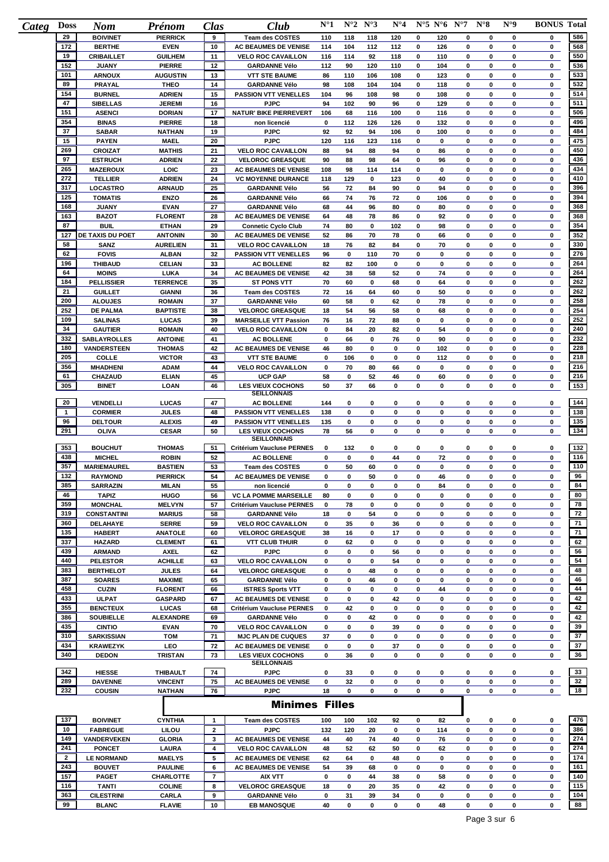| <b>Doss</b><br>Categ | <b>Nom</b>                        | Prénom                       | <b>Clas</b>    | Club                                             | $N^{\circ}1$ |           | $N^{\circ}2 N^{\circ}3$ | $N^{\circ}4$ |        | $N^{\circ}5 N^{\circ}6 N^{\circ}7$ |             | $N^{\circ}8$ | $N^{\circ}9$     | <b>BONUS Total</b> |                                                     |
|----------------------|-----------------------------------|------------------------------|----------------|--------------------------------------------------|--------------|-----------|-------------------------|--------------|--------|------------------------------------|-------------|--------------|------------------|--------------------|-----------------------------------------------------|
| 29                   | <b>BOIVINET</b>                   | <b>PIERRICK</b>              | 9              | <b>Team des COSTES</b>                           | 110          | 118       | 118                     | 120          | 0      | 120                                | $\mathbf 0$ | 0            | 0                | 0                  | 586                                                 |
| 172                  | <b>BERTHE</b>                     | <b>EVEN</b>                  | 10             | AC BEAUMES DE VENISE                             | 114          | 104       | 112                     | 112          | 0      | 126                                | 0           | 0            | 0                | 0                  | 568                                                 |
| 19                   | <b>CRIBAILLET</b>                 | <b>GUILHEM</b>               | 11             | <b>VELO ROC CAVAILLON</b>                        | 116          | 114       | 92                      | 118          | 0      | 110                                | 0           | 0            | $\mathbf 0$      | 0                  | 550                                                 |
| 152                  | <b>JUANY</b>                      | <b>PIERRE</b>                | 12             | <b>GARDANNE Vélo</b>                             | 112          | 90        | 120                     | 110          | 0      | 104                                | 0           | 0            | 0                | 0                  | 536                                                 |
| 101                  | <b>ARNOUX</b>                     | <b>AUGUSTIN</b>              | 13             | <b>VTT STE BAUME</b>                             | 86           | 110       | 106                     | 108          | 0      | 123                                | 0           | 0            | 0                | 0                  | 533                                                 |
| 89                   | <b>PRAYAL</b>                     | <b>THEO</b>                  | 14             | <b>GARDANNE Vélo</b>                             | 98           | 108       | 104                     | 104          | 0      | 118                                | 0           | 0            | $\mathbf 0$      | 0                  | 532                                                 |
| 154<br>47            | <b>BURNEL</b>                     | <b>ADRIEN</b>                | 15             | <b>PASSION VTT VENELLES</b>                      | 104          | 96        | 108                     | 98           | 0      | 108                                | 0           | 0            | 0                | 0                  | 514<br>511                                          |
| 151                  | <b>SIBELLAS</b>                   | <b>JEREMI</b>                | 16             | <b>PJPC</b>                                      | 94           | 102       | 90                      | 96           | 0      | 129                                | 0           | 0            | $\mathbf 0$      | 0                  | 506                                                 |
| 354                  | <b>ASENCI</b>                     | <b>DORIAN</b>                | 17             | <b>NATUR' BIKE PIERREVERT</b>                    | 106          | 68        | 116                     | 100          | 0      | 116                                | 0           | 0            | 0                | 0                  | 496                                                 |
| 37                   | <b>BINAS</b>                      | <b>PIERRE</b>                | 18             | non licencié                                     | 0            | 112       | 126                     | 126          | 0      | 132                                | 0           | 0            | 0                | 0                  | 484                                                 |
| 15                   | <b>SABAR</b>                      | <b>NATHAN</b>                | 19             | <b>PJPC</b>                                      | 92           | 92        | 94                      | 106          | 0      | 100                                | 0           | 0            | 0<br>$\mathbf 0$ | 0                  | 475                                                 |
| 269                  | <b>PAYEN</b>                      | <b>MAEL</b>                  | 20             | <b>PJPC</b>                                      | 120          | 116       | 123                     | 116          | 0      | 0                                  | 0           | 0            |                  | 0                  | 450                                                 |
| 97                   | <b>CROIZAT</b>                    | <b>MATHIS</b>                | 21             | <b>VELO ROC CAVAILLON</b>                        | 88           | 94        | 88                      | 94           | 0      | 86                                 | 0           | 0            | $\mathbf 0$      | 0                  | 436                                                 |
|                      | <b>ESTRUCH</b>                    | <b>ADRIEN</b>                | 22             | <b>VELOROC GREASQUE</b>                          | 90           | 88        | 98                      | 64           | 0      | 96                                 | 0           | 0            | 0                | 0                  |                                                     |
| 265<br>272           | <b>MAZEROUX</b>                   | LOIC                         | 23             | AC BEAUMES DE VENISE                             | 108          | 98        | 114                     | 114          | 0      | 0                                  | 0           | 0            | $\mathbf 0$      | 0                  | 434<br>410                                          |
| 317                  | <b>TELLIER</b>                    | <b>ADRIEN</b>                | 24<br>25       | <b>VC MOYENNE DURANCE</b>                        | 118          | 129<br>72 | 0                       | 123          | 0<br>0 | 40                                 | 0<br>0      | 0<br>0       | 0<br>$\mathbf 0$ | 0                  | 396                                                 |
| 125                  | LOCASTRO<br><b>TOMATIS</b>        | <b>ARNAUD</b><br><b>ENZO</b> | 26             | <b>GARDANNE Vélo</b><br><b>GARDANNE Vélo</b>     | 56<br>66     | 74        | 84<br>76                | 90<br>72     | 0      | 94<br>106                          | 0           | 0            | $\mathbf 0$      | 0<br>0             | 394                                                 |
| 168                  | <b>JUANY</b>                      | <b>EVAN</b>                  | 27             | <b>GARDANNE Vélo</b>                             |              | 44        | 96                      | 80           | 0      | 80                                 | 0           | 0            | 0                | 0                  | 368                                                 |
| 163                  | <b>BAZOT</b>                      | <b>FLORENT</b>               | 28             | AC BEAUMES DE VENISE                             | 68<br>64     | 48        | 78                      | 86           | 0      | 92                                 | 0           | 0            | 0                | 0                  | 368                                                 |
| 87                   | <b>BUIL</b>                       | <b>ETHAN</b>                 |                |                                                  |              |           |                         |              |        |                                    | 0           |              | $\mathbf 0$      | 0                  | 354                                                 |
| 127                  |                                   |                              | 29             | <b>Connetic Cyclo Club</b>                       | 74           | 80        | 0                       | 102          | 0      | 98                                 |             | 0            |                  |                    | 352                                                 |
| 58                   | <b>DE TAXIS DU POET</b>           | <b>ANTONIN</b>               | 30             | <b>AC BEAUMES DE VENISE</b>                      | 52           | 86        | 70                      | 78           | 0      | 66                                 | 0           | 0            | $\mathbf 0$      | 0                  | 330                                                 |
|                      | SANZ                              | <b>AURELIEN</b>              | 31             | <b>VELO ROC CAVAILLON</b>                        | 18           | 76        | 82                      | 84           | 0      | 70                                 | 0           | 0            | $\bf{0}$         | 0                  |                                                     |
| 62                   | <b>FOVIS</b>                      | <b>ALBAN</b>                 | 32             | <b>PASSION VTT VENELLES</b>                      | 96           | 0         | 110                     | 70           | 0      | 0                                  | 0           | 0            | 0                | 0                  | 276                                                 |
| 196                  | <b>THIBAUD</b>                    | <b>CELIAN</b>                | 33             | <b>AC BOLLENE</b>                                | 82           | 82        | 100                     | 0            | 0      | 0                                  | 0           | 0            | 0                | 0                  | 264                                                 |
| 64                   | <b>MOINS</b>                      | LUKA                         | 34             | AC BEAUMES DE VENISE                             | 42           | 38        | 58                      | 52           | 0      | 74                                 | 0           | 0            | 0                | 0                  | 264                                                 |
| 184                  | <b>PELLISSIER</b>                 | <b>TERRENCE</b>              | 35             | <b>ST PONS VTT</b>                               | 70           | 60        | 0                       | 68           | 0      | 64                                 | 0           | 0            | $\bf{0}$         | 0                  | 262                                                 |
| 21                   | <b>GUILLET</b>                    | <b>GIANNI</b>                | 36             | <b>Team des COSTES</b>                           | 72           | 16        | 64                      | 60           | 0      | 50                                 | 0           | 0            | $\mathbf 0$      | 0                  | 262                                                 |
| 200                  | <b>ALOUJES</b>                    | <b>ROMAIN</b>                | 37             | <b>GARDANNE Vélo</b>                             | 60           | 58        | 0                       | 62           | 0      | 78                                 | 0           | 0            | 0                | 0                  | 258                                                 |
| 252                  | <b>DE PALMA</b>                   | <b>BAPTISTE</b>              | 38             | <b>VELOROC GREASQUE</b>                          | 18           | 54        | 56                      | 58           | 0      | 68                                 | 0           | 0            | $\mathbf 0$      | 0                  | 254                                                 |
| 109                  | <b>SALINAS</b>                    | <b>LUCAS</b>                 | 39             | <b>MARSEILLE VTT Passion</b>                     | 76           | 16        | 72                      | 88           | 0      | 0                                  | 0           | 0            | $\bf{0}$         | 0                  | 252                                                 |
| 34                   | <b>GAUTIER</b>                    | <b>ROMAIN</b>                | 40             | <b>VELO ROC CAVAILLON</b>                        | 0            | 84        | 20                      | 82           | 0      | 54                                 | 0           | 0            | 0                | 0                  | 240                                                 |
| 332                  | <b>SABLAYROLLES</b>               | <b>ANTOINE</b>               | 41             | <b>AC BOLLENE</b>                                | 0            | 66        | 0                       | 76           | 0      | 90                                 | 0           | 0            | 0                | 0                  | 232                                                 |
| 180                  | <b>VANDERSTEEN</b>                | <b>THOMAS</b>                | 42             | AC BEAUMES DE VENISE                             | 46           | 80        | 0                       | 0            | 0      | 102                                | 0           | 0            | 0                | 0                  | 228                                                 |
| 205                  | <b>COLLE</b>                      | <b>VICTOR</b>                | 43             | <b>VTT STE BAUME</b>                             | 0            | 106       | 0                       | 0            | 0      | 112                                | 0           | 0            | 0                | 0                  | 218                                                 |
| 356                  | <b>MHADHENI</b>                   | <b>ADAM</b>                  | 44             | <b>VELO ROC CAVAILLON</b>                        | 0            | 70        | 80                      | 66           | 0      | 0                                  | 0           | 0            | 0                | 0                  | 216                                                 |
| 61                   | CHAZAUD                           | <b>ELIAN</b>                 | 45             | <b>UCP GAP</b>                                   | 58           | 0         | 52                      | 46           | 0      | 60                                 | 0           | 0            | 0                | 0                  | 216                                                 |
| 305                  | <b>BINET</b>                      | LOAN                         | 46             | <b>LES VIEUX COCHONS</b>                         | 50           | 37        | 66                      | 0            | 0      | 0                                  | $\mathbf 0$ | 0            | $\bf{0}$         | 0                  | 153                                                 |
|                      |                                   |                              |                | <b>SEILLONNAIS</b>                               |              |           |                         |              |        |                                    |             |              |                  |                    |                                                     |
| 20                   | VENDELLI                          | LUCAS                        | 47             | <b>AC BOLLENE</b>                                | 144          | 0         | 0                       | 0            | 0      | 0                                  | 0           | 0            | 0                | 0                  | 144                                                 |
| 1                    | <b>CORMIER</b>                    | <b>JULES</b>                 | 48             | <b>PASSION VTT VENELLES</b>                      | 138          | 0         | 0                       | 0            | 0      | 0                                  | 0           | 0            | 0                | 0                  | 138                                                 |
| 96                   | <b>DELTOUR</b>                    | <b>ALEXIS</b>                | 49             | <b>PASSION VTT VENELLES</b>                      | 135          | 0         | 0                       | 0            | 0      | 0                                  | 0           | 0            | 0                | 0                  | 135<br>134                                          |
| 291                  | <b>OLIVA</b>                      | <b>CESAR</b>                 | 50             | <b>LES VIEUX COCHONS</b><br><b>SEILLONNAIS</b>   | 78           | 56        | 0                       | 0            | 0      | 0                                  | 0           | 0            | 0                | 0                  |                                                     |
| 353                  | <b>BOUCHUT</b>                    | <b>THOMAS</b>                | 51             | Critérium Vaucluse PERNES                        | 0            | 132       | 0                       | 0            | 0      | 0                                  | 0           | 0            | 0                | 0                  | 132                                                 |
| 438                  | <b>MICHEL</b>                     | <b>ROBIN</b>                 | 52             | <b>AC BOLLENE</b>                                | 0            | 0         | 0                       | 44           | 0      | 72                                 | 0           | 0            | 0                | 0                  | 116                                                 |
| 357                  | <b>MARIEMAUREL</b>                | <b>BASTIEN</b>               | 53             | <b>Team des COSTES</b>                           | 0            | 50        | 60                      | 0            | 0      | 0                                  | 0           | 0            | 0                | 0                  | 110                                                 |
| 132                  | <b>RAYMOND</b>                    | <b>PIERRICK</b>              | 54             | AC BEAUMES DE VENISE                             | 0            | 0         | 50                      | $\bf{0}$     | 0      | 46                                 | $\mathbf 0$ | 0            | $\bf{0}$         | 0                  | 96                                                  |
| 385                  | <b>SARRAZIN</b>                   | <b>MILAN</b>                 | 55             | non licencié                                     | 0            | 0         | 0                       | 0            | 0      | 84                                 | 0           | 0            | 0                | 0                  | 84                                                  |
| 46                   | <b>TAPIZ</b>                      | <b>HUGO</b>                  | 56             | <b>VC LA POMME MARSEILLE</b>                     | 80           | 0         | 0                       | 0            | 0      | 0                                  | 0           | 0            | $\mathbf 0$      | 0                  | 80                                                  |
| 359                  | <b>MONCHAL</b>                    | <b>MELVYN</b>                | 57             | Critérium Vaucluse PERNES                        | 0            | 78        | 0                       | 0            | 0      | 0                                  | 0           | 0            | 0                | 0                  | 78                                                  |
| 319                  | <b>CONSTANTINI</b>                | <b>MARIUS</b>                | 58             | <b>GARDANNE Vélo</b>                             | 18           | 0         | 54                      | 0            | 0      | 0                                  | 0           | 0            | 0                | 0                  | 72                                                  |
| 360                  | DELAHAYE                          | <b>SERRE</b>                 | 59             | <b>VELO ROC CAVAILLON</b>                        | 0            | 35        | 0                       | 36           | 0      | 0                                  | 0           | 0            | 0                | 0                  | 71                                                  |
| 135                  | <b>HABERT</b>                     | <b>ANATOLE</b>               | 60             | <b>VELOROC GREASQUE</b>                          | 38           | 16        | 0                       | 17           | 0      | 0                                  | 0           | 0            | 0                | $\mathbf 0$        | 71                                                  |
| 337                  | <b>HAZARD</b>                     | <b>CLEMENT</b>               | 61             | <b>VTT CLUB THUIR</b>                            | 0            | 62        | 0                       | 0            | 0      | 0                                  | 0           | 0            | 0                | 0                  | 62                                                  |
| 439                  | <b>ARMAND</b>                     | <b>AXEL</b>                  | 62             | <b>PJPC</b>                                      | 0            | 0         | 0                       | 56           | 0      | 0                                  | 0           | 0            | 0                | 0                  | 56                                                  |
| 440                  | <b>PELESTOR</b>                   | <b>ACHILLE</b>               | 63             | <b>VELO ROC CAVAILLON</b>                        | 0            | 0         | 0                       | 54           | 0      | 0                                  | 0           | 0            | 0                | 0                  | 54                                                  |
| 383                  |                                   | <b>JULES</b>                 | 64             |                                                  | 0            | 0         |                         |              |        |                                    | 0           | 0            | 0                |                    | 48                                                  |
| 387                  | <b>BERTHELOT</b>                  |                              |                | <b>VELOROC GREASQUE</b>                          |              |           | 48                      | 0            | 0      | 0                                  |             |              |                  | $\mathbf 0$        | 46                                                  |
| 458                  | <b>SOARES</b><br><b>CUZIN</b>     | <b>MAXIME</b>                | 65             | <b>GARDANNE Vélo</b><br><b>ISTRES Sports VTT</b> | 0            | 0         | 46                      | 0            | 0      | 0                                  | 0           | 0            | 0                | 0                  | 44                                                  |
|                      |                                   | <b>FLORENT</b>               | 66             |                                                  | 0            | 0         | 0                       | 0            | 0      | 44                                 | 0           | 0            | 0                | 0                  | 42                                                  |
| 433                  | <b>ULPAT</b>                      | <b>GASPARD</b>               | 67             | <b>AC BEAUMES DE VENISE</b>                      | 0            | 0         | 0                       | 42           | 0      | 0                                  | 0           | 0            | 0                | 0                  |                                                     |
| 355                  | <b>BENCTEUX</b>                   | <b>LUCAS</b>                 | 68             | <b>Critérium Vaucluse PERNES</b>                 | 0            | 42        | 0                       | 0            | 0      | 0                                  | 0           | 0            | 0                | 0                  | 42                                                  |
| 386                  | <b>SOUBIELLE</b>                  | ALEXANDRE                    | 69             | <b>GARDANNE Vélo</b>                             | 0            | 0         | 42                      | 0            | 0      | 0                                  | 0           | 0            | 0                | 0                  | 42                                                  |
| 435                  | <b>CINTIO</b>                     | <b>EVAN</b>                  | 70             | <b>VELO ROC CAVAILLON</b>                        | 0            | 0         | 0                       | 39           | 0      | 0                                  | 0           | 0            | 0                | 0                  | 39                                                  |
| 310                  | <b>SARKISSIAN</b>                 | <b>TOM</b>                   | 71             | <b>MJC PLAN DE CUQUES</b>                        | 37           | 0         | 0                       | 0            | 0      | 0                                  | 0           | 0            | 0                | 0                  | 37                                                  |
| 434                  | <b>KRAWEZYK</b>                   | LEO                          | 72             | AC BEAUMES DE VENISE                             | 0            | 0         | 0                       | 37           | 0      | 0                                  | 0           | 0            | 0                | 0                  | 37                                                  |
| 340                  | <b>DEDON</b>                      | <b>TRISTAN</b>               | 73             | <b>LES VIEUX COCHONS</b><br><b>SEILLONNAIS</b>   | 0            | 36        | 0                       | 0            | 0      | 0                                  | 0           | 0            | 0                | 0                  | 36                                                  |
| 342                  | <b>HIESSE</b>                     | <b>THIBAULT</b>              | 74             | <b>PJPC</b>                                      | 0            |           |                         |              |        |                                    | 0           | 0            | 0                | $\mathbf 0$        | 33                                                  |
| 289                  | <b>DAVENNE</b>                    | <b>VINCENT</b>               | 75             | AC BEAUMES DE VENISE                             | 0            | 33<br>32  | 0<br>0                  | 0<br>0       | 0<br>0 | 0<br>0                             | 0           | 0            | 0                | 0                  | 32                                                  |
| 232                  | <b>COUSIN</b>                     | <b>NATHAN</b>                | 76             | <b>PJPC</b>                                      | 18           | 0         | 0                       | 0            | 0      | 0                                  | 0           | 0            | 0                | 0                  | 18                                                  |
|                      |                                   |                              |                |                                                  |              |           |                         |              |        |                                    |             |              |                  |                    |                                                     |
|                      |                                   |                              |                | <b>Minimes Filles</b>                            |              |           |                         |              |        |                                    |             |              |                  |                    |                                                     |
|                      |                                   |                              |                |                                                  |              |           |                         |              |        |                                    |             |              |                  |                    |                                                     |
| 137                  | <b>BOIVINET</b>                   | <b>CYNTHIA</b>               | $\mathbf{1}$   | <b>Team des COSTES</b>                           | 100          | 100       | 102                     | 92           | 0      | 82                                 | 0           | 0            | 0                | $\mathbf 0$        | 476                                                 |
|                      |                                   |                              |                | <b>PJPC</b>                                      | 132          | 120       | 20                      | 0            | 0      | 114                                | 0           | 0            | 0                | 0                  | 386                                                 |
| 10                   | <b>FABREGUE</b>                   | LILOU                        | $\overline{2}$ |                                                  |              |           |                         |              |        | 76                                 |             |              |                  |                    |                                                     |
| 149                  | VANDERVEKEN                       | <b>GLORIA</b>                | 3              | AC BEAUMES DE VENISE                             | 44           | 40        | 74                      | 40           | 0      |                                    | 0           | 0            | 0                | $\mathbf 0$        |                                                     |
| 241                  | <b>PONCET</b>                     | LAURA                        | 4              | <b>VELO ROC CAVAILLON</b>                        | 48           | 52        | 62                      | 50           | 0      | 62                                 | 0           | 0            | 0                | $\mathbf 0$        |                                                     |
| $\overline{2}$       | <b>LE NORMAND</b>                 | <b>MAELYS</b>                | 5              | AC BEAUMES DE VENISE                             | 62           | 64        | 0                       | 48           | 0      | $\mathbf 0$                        | 0           | 0            | 0                | $\mathbf 0$        |                                                     |
| 243                  | <b>BOUVET</b>                     | <b>PAULINE</b>               | 6              | AC BEAUMES DE VENISE                             | 54           | 39        | 68                      | 0            | 0      | 0                                  | 0           | 0            | 0                | 0                  |                                                     |
| 157                  | <b>PAGET</b>                      | CHARLOTTE                    | $\overline{7}$ | <b>AIX VTT</b>                                   | 0            | 0         | 44                      | 38           | 0      | 58                                 | 0           | 0            | 0                | 0                  |                                                     |
| 116                  | <b>TANTI</b>                      | <b>COLINE</b>                | 8              | <b>VELOROC GREASQUE</b>                          | 18           | 0         | 20                      | 35           | 0      | 42                                 | 0           | 0            | 0                | 0                  |                                                     |
| 363<br>99            | <b>CILESTRINI</b><br><b>BLANC</b> | CARLA<br><b>FLAVIE</b>       | 9<br>10        | <b>GARDANNE Vélo</b><br><b>EB MANOSQUE</b>       | 0<br>40      | 31<br>0   | 39<br>0                 | 34<br>0      | 0<br>0 | 0<br>48                            | 0<br>0      | 0<br>0       | 0<br>0           | 0<br>0             | 274<br>274<br>174<br>161<br>140<br>115<br>104<br>88 |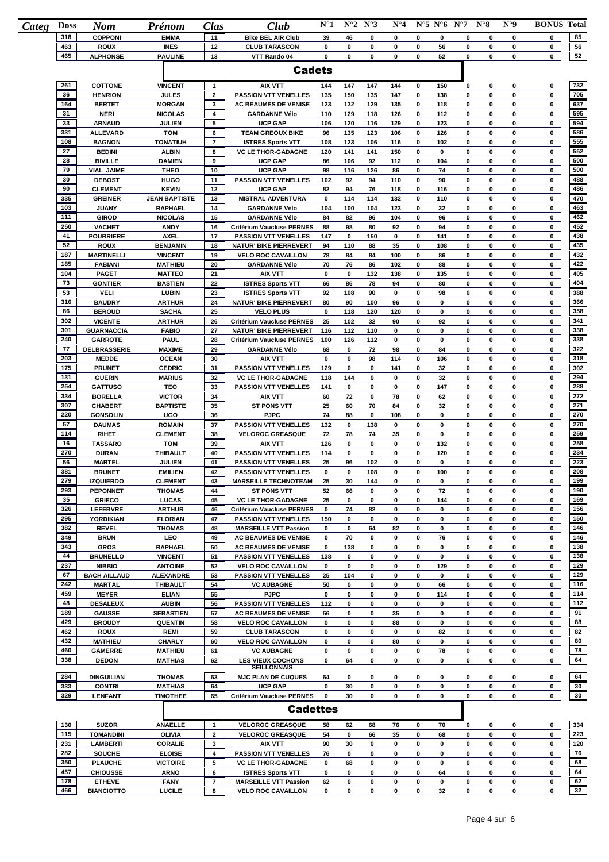| <b>Doss</b><br>Categ | <b>Nom</b>                           | Prénom                             | <b>Clas</b>         | Club                                                      | $N^{\circ}1$ |             | $N^{\circ}2 N^{\circ}3$ | $N^{\circ}4$ |        | $N^{\circ}5 N^{\circ}6 N^{\circ}7$ |        | $N^{\circ}8$ | $N^{\circ}9$ | <b>BONUS Total</b> |            |
|----------------------|--------------------------------------|------------------------------------|---------------------|-----------------------------------------------------------|--------------|-------------|-------------------------|--------------|--------|------------------------------------|--------|--------------|--------------|--------------------|------------|
| 318                  | <b>COPPONI</b>                       | <b>EMMA</b>                        | 11                  | <b>Bike BEL AIR Club</b>                                  | 39           | 46          | 0                       | 0            | 0      | 0                                  | 0      | 0            | 0            | 0                  | 85         |
| 463<br>465           | <b>ROUX</b>                          | <b>INES</b>                        | 12<br>13            | <b>CLUB TARASCON</b>                                      | 0<br>0       | 0<br>0      | 0<br>0                  | 0<br>0       | 0<br>0 | 56<br>52                           | 0<br>0 | 0<br>0       | 0<br>0       | 0                  | 56<br>52   |
|                      | <b>ALPHONSE</b>                      | <b>PAULINE</b>                     |                     | VTT Rando 04                                              |              |             |                         |              |        |                                    |        |              |              | 0                  |            |
|                      |                                      |                                    |                     | <b>Cadets</b>                                             |              |             |                         |              |        |                                    |        |              |              |                    |            |
| 261                  | <b>COTTONE</b>                       | <b>VINCENT</b>                     | $\mathbf{1}$        | <b>AIX VTT</b>                                            | 144          | 147         | 147                     | 144          | 0      | 150                                | 0      | 0            | 0            | 0                  | 732        |
| 36                   | <b>HENRION</b>                       | <b>JULES</b>                       | $\overline{2}$      | <b>PASSION VTT VENELLES</b>                               | 135          | 150         | 135                     | 147          | 0      | 138                                | 0      | 0            | 0            | 0                  | 705        |
| 164                  | <b>BERTET</b>                        | <b>MORGAN</b>                      | 3                   | AC BEAUMES DE VENISE                                      | 123          | 132         | 129                     | 135          | 0      | 118                                | 0      | 0            | 0            | 0                  | 637        |
| 31                   | <b>NERI</b>                          | <b>NICOLAS</b>                     | 4                   | <b>GARDANNE Vélo</b>                                      | 110          | 129         | 118                     | 126          | 0      | 112                                | 0      | 0            | 0            | 0                  | 595        |
| 33                   | <b>ARNAUD</b>                        | JULIEN                             | 5                   | <b>UCP GAP</b>                                            | 106          | 120         | 116                     | 129          | 0      | 123                                | 0      | 0            | 0            | 0                  | 594        |
| 331                  | <b>ALLEVARD</b>                      | <b>TOM</b>                         | 6                   | <b>TEAM GREOUX BIKE</b>                                   | 96           | 135         | 123                     | 106          | 0      | 126                                | 0      | 0            | 0            | 0                  | 586        |
| 108                  | <b>BAGNON</b>                        | <b>TONATIUH</b>                    | $\overline{7}$      | <b>ISTRES Sports VTT</b>                                  | 108          | 123         | 106                     | 116          | 0      | 102                                | 0      | 0            | 0            | 0                  | 555        |
| 27<br>28             | <b>BEDINI</b>                        | <b>ALBIN</b>                       | 8                   | <b>VC LE THOR-GADAGNE</b>                                 | 120          | 141         | 141                     | 150          | 0      | $\mathbf 0$                        | 0      | 0            | 0            | 0                  | 552        |
| 79                   | <b>BIVILLE</b>                       | <b>DAMIEN</b>                      | 9<br>10             | <b>UCP GAP</b>                                            | 86<br>98     | 106         | 92                      | 112<br>86    | 0<br>0 | 104<br>74                          | 0<br>0 | 0<br>0       | 0<br>0       | 0<br>0             | 500<br>500 |
| 30                   | <b>VIAL JAIME</b><br><b>DEBOST</b>   | <b>THEO</b><br><b>HUGO</b>         | 11                  | <b>UCP GAP</b><br><b>PASSION VTT VENELLES</b>             | 102          | 116<br>92   | 126<br>94               | 110          | 0      | 90                                 | 0      | 0            | 0            | 0                  | 488        |
| 90                   | <b>CLEMENT</b>                       | <b>KEVIN</b>                       | 12                  | <b>UCP GAP</b>                                            | 82           | 94          | 76                      | 118          | 0      | 116                                | 0      | 0            | 0            | 0                  | 486        |
| 335                  | <b>GREINER</b>                       | <b>JEAN BAPTISTE</b>               | 13                  | <b>MISTRAL ADVENTURA</b>                                  | 0            | 114         | 114                     | 132          | 0      | 110                                | 0      | 0            | 0            | 0                  | 470        |
| 103                  | <b>JUANY</b>                         | <b>RAPHAEL</b>                     | 14                  | <b>GARDANNE Vélo</b>                                      | 104          | 100         | 104                     | 123          | 0      | 32                                 | 0      | 0            | 0            | 0                  | 463        |
| 111                  | <b>GIROD</b>                         | <b>NICOLAS</b>                     | 15                  | <b>GARDANNE Vélo</b>                                      | 84           | 82          | 96                      | 104          | 0      | 96                                 | 0      | 0            | 0            | 0                  | 462        |
| 250                  | <b>VACHET</b>                        | <b>ANDY</b>                        | 16                  | Critérium Vaucluse PERNES                                 | 88           | 98          | 80                      | 92           | 0      | 94                                 | 0      | 0            | 0            | 0                  | 452        |
| 41                   | <b>POURRIERE</b>                     | <b>AXEL</b>                        | 17                  | <b>PASSION VTT VENELLES</b>                               | 147          | 0           | 150                     | 0            | 0      | 141                                | 0      | 0            | 0            | 0                  | 438        |
| 52                   | <b>ROUX</b>                          | <b>BENJAMIN</b>                    | 18                  | <b>NATUR' BIKE PIERREVERT</b>                             | 94           | 110         | 88                      | 35           | 0      | 108                                | 0      | 0            | 0            | 0                  | 435        |
| 187                  | <b>MARTINELLI</b>                    | <b>VINCENT</b>                     | 19                  | <b>VELO ROC CAVAILLON</b>                                 | 78           | 84          | 84                      | 100          | 0      | 86                                 | 0      | 0            | 0            | 0                  | 432        |
| 185                  | <b>FABIANI</b>                       | <b>MATHIEU</b>                     | 20                  | <b>GARDANNE Vélo</b>                                      | 70           | 76          | 86                      | 102          | 0      | 88                                 | 0      | 0            | 0            | 0                  | 422        |
| 104                  | <b>PAGET</b>                         | <b>MATTEO</b>                      | 21                  | <b>AIX VTT</b>                                            | 0            | 0           | 132                     | 138          | 0      | 135                                | 0      | 0            | 0            | 0                  | 405        |
| 73                   | <b>GONTIER</b>                       | <b>BASTIEN</b>                     | 22                  | <b>ISTRES Sports VTT</b>                                  | 66           | 86          | 78                      | 94           | 0      | 80                                 | 0      | 0            | 0            | 0                  | 404        |
| 53                   | <b>VELI</b>                          | <b>LUBIN</b>                       | 23                  | <b>ISTRES Sports VTT</b>                                  | 92           | 108         | 90                      | 0            | 0      | 98                                 | 0      | 0            | 0            | 0                  | 388        |
| 316<br>86            | <b>BAUDRY</b><br><b>BEROUD</b>       | <b>ARTHUR</b><br><b>SACHA</b>      | 24<br>25            | <b>NATUR' BIKE PIERREVERT</b><br><b>VELO PLUS</b>         | 80<br>0      | 90<br>118   | 100<br>120              | 96<br>120    | 0<br>0 | 0<br>0                             | 0<br>0 | 0<br>0       | 0<br>0       | 0<br>0             | 366<br>358 |
| 302                  | <b>VICENTE</b>                       | <b>ARTHUR</b>                      | 26                  | Critérium Vaucluse PERNES                                 | 25           | 102         | 32                      | 90           | 0      | 92                                 | 0      | 0            | 0            | 0                  | 341        |
| 301                  | <b>GUARNACCIA</b>                    | <b>FABIO</b>                       | 27                  | <b>NATUR' BIKE PIERREVERT</b>                             | 116          | 112         | 110                     | 0            | 0      | 0                                  | 0      | 0            | 0            | 0                  | 338        |
| 240                  | <b>GARROTE</b>                       | PAUL                               | 28                  | Critérium Vaucluse PERNES                                 | 100          | 126         | 112                     | 0            | 0      | 0                                  | 0      | 0            | 0            | 0                  | 338        |
| 77                   | DELBRASSERIE                         | <b>MAXIME</b>                      | 29                  | <b>GARDANNE Vélo</b>                                      | 68           | 0           | 72                      | 98           | 0      | 84                                 | 0      | 0            | 0            | 0                  | 322        |
| 203                  | <b>MEDDE</b>                         | <b>OCEAN</b>                       | 30                  | <b>AIX VTT</b>                                            | 0            | 0           | 98                      | 114          | 0      | 106                                | 0      | 0            | 0            | 0                  | 318        |
| 175                  | <b>PRUNET</b>                        | <b>CEDRIC</b>                      | 31                  | <b>PASSION VTT VENELLES</b>                               | 129          | 0           | 0                       | 141          | 0      | 32                                 | 0      | 0            | 0            | 0                  | 302        |
| 131                  | <b>GUERIN</b>                        | <b>MARIUS</b>                      | 32                  | <b>VC LE THOR-GADAGNE</b>                                 | 118          | 144         | 0                       | 0            | 0      | 32                                 | 0      | 0            | 0            | 0                  | 294        |
| 254                  | <b>GATTUSO</b>                       | TEO                                | 33                  | <b>PASSION VTT VENELLES</b>                               | 141          | 0           | 0                       | 0            | 0      | 147                                | 0      | 0            | 0            | 0                  | 288        |
| 334                  | <b>BORELLA</b>                       | <b>VICTOR</b>                      | 34                  | <b>AIX VTT</b>                                            | 60           | 72          | 0                       | 78           | 0      | 62                                 | 0      | 0            | 0            | 0                  | 272        |
| 307                  | <b>CHABERT</b>                       | <b>BAPTISTE</b>                    | 35                  | <b>ST PONS VTT</b>                                        | 25           | 60          | 70                      | 84           | 0      | 32                                 | 0      | 0            | 0            | 0                  | 271        |
| 220                  | <b>GONSOLIN</b>                      | <b>UGO</b>                         | 36                  | <b>PJPC</b>                                               | 74           | 88          | 0                       | 108          | 0      | 0                                  | 0      | 0            | 0            | 0                  | 270        |
| 57                   | <b>DAUMAS</b>                        | <b>ROMAIN</b>                      | 37                  | <b>PASSION VTT VENELLES</b>                               | 132          | 0           | 138                     | 0            | 0      | 0                                  | 0      | 0            | 0            | 0                  | 270        |
| 114<br>16            | <b>RIHET</b>                         | <b>CLEMENT</b>                     | 38                  | <b>VELOROC GREASQUE</b>                                   | 72           | 78          | 74                      | 35           | 0      | 0                                  | 0      | 0            | 0            | 0                  | 259        |
| 270                  | <b>TASSARO</b><br><b>DURAN</b>       | <b>TOM</b><br><b>THIBAULT</b>      | 39<br>40            | <b>AIX VTT</b><br><b>PASSION VTT VENELLES</b>             | 126<br>114   | 0<br>0      | 0<br>0                  | 0<br>0       | 0<br>0 | 132<br>120                         | 0<br>0 | 0<br>0       | 0<br>0       | 0<br>0             | 258<br>234 |
| 56                   | <b>MARTEL</b>                        | JULIEN                             | 41                  | <b>PASSION VTT VENELLES</b>                               | 25           | 96          | 102                     | 0            | 0      | 0                                  | 0      | 0            | 0            | 0                  | 223        |
| 381                  | <b>BRUNET</b>                        | <b>EMILIEN</b>                     | 42                  | <b>PASSION VTT VENELLES</b>                               | 0            | $\mathbf 0$ | 108                     | $\mathbf 0$  | 0      | 100                                | 0      | 0            | 0            | 0                  | 208        |
| 279                  | <b>IZQUIERDO</b>                     | <b>CLEMENT</b>                     | 43                  | <b>MARSEILLE TECHNOTEAM</b>                               | 25           | 30          | 144                     | 0            | 0      | 0                                  | 0      | 0            | 0            | 0                  | 199        |
| 293                  | <b>PEPONNET</b>                      | <b>THOMAS</b>                      | 44                  | <b>ST PONS VTT</b>                                        | 52           | 66          | 0                       | 0            | 0      | 72                                 | 0      | 0            | 0            | 0                  | 190        |
| 35                   | <b>GRIECO</b>                        | <b>LUCAS</b>                       | 45                  | <b>VC LE THOR-GADAGNE</b>                                 | 25           | 0           | 0                       | 0            | 0      | 144                                | 0      | 0            | 0            | 0                  | 169        |
| 326                  | <b>LEFEBVRE</b>                      | <b>ARTHUR</b>                      | 46                  | Critérium Vaucluse PERNES                                 | 0            | 74          | 82                      | 0            | 0      | 0                                  | 0      | 0            | 0            | 0                  | 156        |
| 295                  | YORDIKIAN                            | <b>FLORIAN</b>                     | 47                  | <b>PASSION VTT VENELLES</b>                               | 150          | 0           | 0                       | 0            | 0      | 0                                  | 0      | 0            | 0            | 0                  | 150        |
| 382                  | <b>REVEL</b>                         | <b>THOMAS</b>                      | 48                  | <b>MARSEILLE VTT Passion</b>                              | 0            | 0           | 64                      | 82           | 0      | 0                                  | 0      | 0            | 0            | 0                  | 146        |
| 349                  | <b>BRUN</b>                          | LEO                                | 49                  | AC BEAUMES DE VENISE                                      | 0            | 70          | 0                       | 0            | 0      | 76                                 | 0      | 0            | 0            | 0                  | 146        |
| 343                  | <b>GROS</b>                          | <b>RAPHAEL</b>                     | 50                  | AC BEAUMES DE VENISE                                      | 0            | 138         | 0                       | 0            | 0      | 0                                  | 0      | 0            | 0            | 0                  | 138        |
| 44<br>237            | <b>BRUNELLO</b>                      | <b>VINCENT</b>                     | 51                  | <b>PASSION VTT VENELLES</b>                               | 138          | 0           | 0                       | 0            | 0      | 0                                  | 0      | 0            | 0            | 0                  | 138        |
| 67                   | <b>NIBBIO</b><br><b>BACH AILLAUD</b> | <b>ANTOINE</b><br><b>ALEXANDRE</b> | 52<br>53            | <b>VELO ROC CAVAILLON</b>                                 | 0            | 0<br>104    | 0<br>0                  | 0<br>0       | 0<br>0 | 129<br>0                           | 0<br>0 | 0<br>0       | 0<br>0       | 0<br>0             | 129<br>129 |
| 242                  | <b>MARTAL</b>                        | <b>THIBAULT</b>                    | 54                  | <b>PASSION VTT VENELLES</b><br><b>VC AUBAGNE</b>          | 25<br>50     | 0           | 0                       | 0            | 0      | 66                                 | 0      | 0            | 0            | 0                  | 116        |
| 459                  | <b>MEYER</b>                         | <b>ELIAN</b>                       | 55                  | <b>PJPC</b>                                               | 0            | 0           | 0                       | 0            | 0      | 114                                | 0      | 0            | 0            | 0                  | 114        |
| 48                   | <b>DESALEUX</b>                      | <b>AUBIN</b>                       | 56                  | <b>PASSION VTT VENELLES</b>                               | 112          | 0           | 0                       | 0            | 0      | 0                                  | 0      | 0            | 0            | 0                  | 112        |
| 189                  | <b>GAUSSE</b>                        | <b>SEBASTIEN</b>                   | 57                  | <b>AC BEAUMES DE VENISE</b>                               | 56           | 0           | 0                       | 35           | 0      | 0                                  | 0      | 0            | 0            | 0                  | 91         |
| 429                  | <b>BROUDY</b>                        | <b>QUENTIN</b>                     | 58                  | <b>VELO ROC CAVAILLON</b>                                 | 0            | 0           | 0                       | 88           | 0      | 0                                  | 0      | 0            | 0            | 0                  | 88         |
| 462                  | <b>ROUX</b>                          | REMI                               | 59                  | <b>CLUB TARASCON</b>                                      | 0            | 0           | 0                       | 0            | 0      | 82                                 | 0      | 0            | 0            | $\mathbf 0$        | 82         |
| 432                  | <b>MATHIEU</b>                       | <b>CHARLY</b>                      | 60                  | <b>VELO ROC CAVAILLON</b>                                 | 0            | 0           | 0                       | 80           | 0      | 0                                  | 0      | 0            | 0            | 0                  | 80         |
| 460                  | <b>GAMERRE</b>                       | <b>MATHIEU</b>                     | 61                  | <b>VC AUBAGNE</b>                                         | 0            | 0           | 0                       | 0            | 0      | 78                                 | 0      | 0            | 0            | 0                  | 78         |
| 338                  | <b>DEDON</b>                         | <b>MATHIAS</b>                     | 62                  | <b>LES VIEUX COCHONS</b>                                  | 0            | 64          | 0                       | 0            | 0      | 0                                  | 0      | 0            | 0            | 0                  | 64         |
|                      |                                      |                                    |                     | <b>SEILLONNAIS</b>                                        |              |             |                         |              |        |                                    |        |              |              |                    |            |
| 284<br>333           | <b>DINGUILIAN</b>                    | <b>THOMAS</b>                      | 63                  | <b>MJC PLAN DE CUQUES</b>                                 | 64           | 0           | 0                       | 0            | 0      | 0                                  | 0      | 0            | 0            | 0                  | 64<br>30   |
| 329                  | <b>CONTRI</b><br><b>LENFANT</b>      | <b>MATHIAS</b><br><b>TIMOTHEE</b>  | 64<br>65            | <b>UCP GAP</b><br>Critérium Vaucluse PERNES               | 0<br>0       | 30<br>30    | 0<br>0                  | 0<br>0       | 0<br>0 | 0<br>0                             | 0<br>0 | 0<br>0       | 0<br>0       | 0<br>0             | 30         |
|                      |                                      |                                    |                     |                                                           |              |             |                         |              |        |                                    |        |              |              |                    |            |
|                      |                                      |                                    |                     | <b>Cadettes</b>                                           |              |             |                         |              |        |                                    |        |              |              |                    |            |
| 130                  | <b>SUZOR</b>                         | <b>ANAELLE</b>                     | $\mathbf{1}$        | <b>VELOROC GREASQUE</b>                                   | 58           | 62          | 68                      | 76           | 0      | 70                                 | 0      | 0            | 0            | 0                  | 334        |
| 115                  | <b>TOMANDINI</b>                     | OLIVIA                             | $\overline{2}$      | <b>VELOROC GREASQUE</b>                                   | 54           | 0           | 66                      | 35           | 0      | 68                                 | 0      | 0            | 0            | 0                  | 223        |
| 231                  | <b>LAMBERTI</b>                      | <b>CORALIE</b>                     | 3                   | AIX VTT                                                   | 90           | 30          | 0                       | 0            | 0      | 0                                  | 0      | 0            | 0            | 0                  | 120        |
| 282                  | <b>SOUCHE</b>                        | <b>ELOISE</b>                      | 4                   | <b>PASSION VTT VENELLES</b>                               | 76           | 0           | 0                       | 0            | 0      | 0                                  | 0      | 0            | 0            | 0                  | 76         |
| 350                  | <b>PLAUCHE</b>                       | <b>VICTOIRE</b>                    | 5                   | <b>VC LE THOR-GADAGNE</b>                                 | 0            | 68          | 0                       | 0            | 0      | 0                                  | 0      | 0            | 0            | 0                  | 68         |
| 457                  | <b>CHIOUSSE</b>                      | <b>ARNO</b>                        | 6                   | <b>ISTRES Sports VTT</b>                                  | 0            | 0           | 0                       | 0            | 0      | 64                                 | 0      | 0            | 0            | 0                  | 64         |
|                      |                                      |                                    |                     |                                                           |              |             |                         |              |        |                                    |        |              |              |                    |            |
| 178<br>466           | <b>ETHEVE</b><br><b>BIANCIOTTO</b>   | <b>FANY</b><br><b>LUCILE</b>       | $\overline{7}$<br>8 | <b>MARSEILLE VTT Passion</b><br><b>VELO ROC CAVAILLON</b> | 62<br>0      | 0<br>0      | 0<br>0                  | 0<br>0       | 0<br>0 | 0<br>32                            | 0<br>0 | 0<br>0       | 0<br>0       | 0<br>0             | 62<br>32   |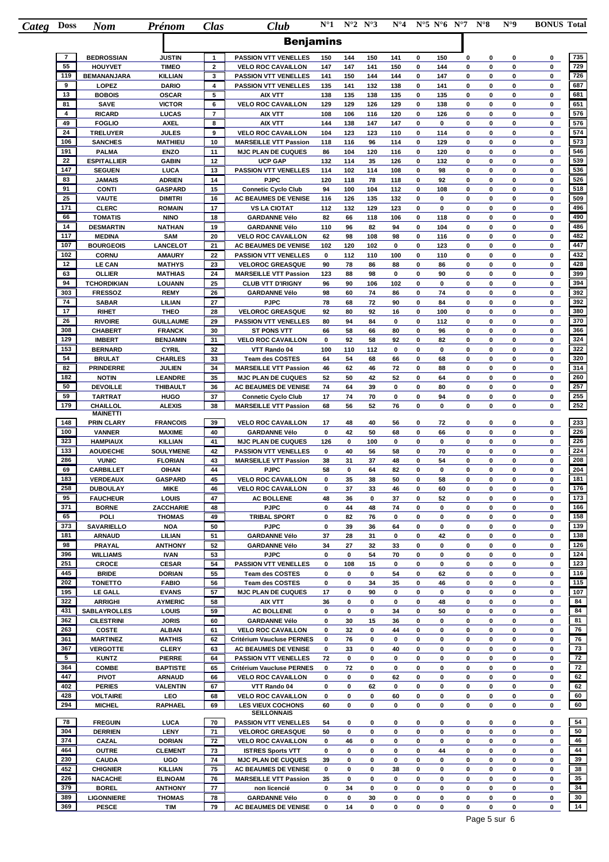| Categ | <b>Doss</b>                   | <b>Nom</b>                          | Prénom                          | Clas                           | Club                                                          | $N^{\circ}1$ |            | $N^{\circ}2 N^{\circ}3$ | $N^{\circ}4$ |             | $N^{\circ}5 N^{\circ}6 N^{\circ}7$ |        | $N^{\circ}8$     | $N^{\circ}9$ | <b>BONUS Total</b> |            |
|-------|-------------------------------|-------------------------------------|---------------------------------|--------------------------------|---------------------------------------------------------------|--------------|------------|-------------------------|--------------|-------------|------------------------------------|--------|------------------|--------------|--------------------|------------|
|       |                               |                                     |                                 |                                | <b>Benjamins</b>                                              |              |            |                         |              |             |                                    |        |                  |              |                    |            |
|       |                               |                                     |                                 |                                |                                                               |              |            |                         |              |             |                                    |        |                  |              |                    |            |
|       | $\overline{7}$<br>55          | <b>BEDROSSIAN</b><br><b>HOUYVET</b> | <b>JUSTIN</b><br><b>TIMEO</b>   | $\mathbf{1}$<br>$\overline{2}$ | <b>PASSION VTT VENELLES</b><br><b>VELO ROC CAVAILLON</b>      | 150<br>147   | 144<br>147 | 150<br>141              | 141<br>150   | 0<br>0      | 150<br>144                         | 0<br>0 | 0<br>$\mathbf 0$ | 0<br>0       | 0<br>0             | 735<br>729 |
|       | 119                           | <b>BEMANANJARA</b>                  | <b>KILLIAN</b>                  | 3                              | <b>PASSION VTT VENELLES</b>                                   | 141          | 150        | 144                     | 144          | 0           | 147                                | 0      | 0                | 0            | 0                  | 726        |
|       | 9                             | LOPEZ                               | <b>DARIO</b>                    | 4                              | <b>PASSION VTT VENELLES</b>                                   | 135          | 141        | 132                     | 138          | 0           | 141                                | 0      | 0                | 0            | 0                  | 687        |
|       | 13                            | <b>BOBOIS</b>                       | <b>OSCAR</b>                    | 5                              | <b>AIX VTT</b>                                                | 138          | 135        | 138                     | 135          | 0           | 135                                | 0      | 0                | 0            | 0                  | 681        |
|       | 81<br>$\overline{\mathbf{4}}$ | <b>SAVE</b><br><b>RICARD</b>        | <b>VICTOR</b><br>LUCAS          | 6<br>$\overline{7}$            | <b>VELO ROC CAVAILLON</b><br><b>AIX VTT</b>                   | 129<br>108   | 129<br>106 | 126<br>116              | 129<br>120   | 0<br>0      | 138<br>126                         | 0<br>0 | 0<br>0           | 0<br>0       | 0<br>0             | 651<br>576 |
|       | 49                            | <b>FOGLIO</b>                       | <b>AXEL</b>                     | 8                              | AIX VTT                                                       | 144          | 138        | 147                     | 147          | 0           | 0                                  | 0      | 0                | 0            | 0                  | 576        |
|       | 24                            | <b>TRELUYER</b>                     | <b>JULES</b>                    | 9                              | <b>VELO ROC CAVAILLON</b>                                     | 104          | 123        | 123                     | 110          | 0           | 114                                | 0      | 0                | 0            | 0                  | 574        |
|       | 106                           | <b>SANCHES</b>                      | <b>MATHIEU</b>                  | 10                             | <b>MARSEILLE VTT Passion</b>                                  | 118          | 116        | 96                      | 114          | 0           | 129                                | 0      | 0                | 0            | 0                  | 573        |
|       | 191<br>22                     | <b>PALMA</b><br><b>ESPITALLIER</b>  | <b>ENZO</b><br><b>GABIN</b>     | 11<br>12                       | <b>MJC PLAN DE CUQUES</b><br><b>UCP GAP</b>                   | 86<br>132    | 104<br>114 | 120<br>35               | 116<br>126   | 0<br>0      | 120<br>132                         | 0<br>0 | 0<br>0           | 0<br>0       | 0<br>0             | 546<br>539 |
|       | 147                           | <b>SEGUEN</b>                       | LUCA                            | 13                             | <b>PASSION VTT VENELLES</b>                                   | 114          | 102        | 114                     | 108          | $\mathbf 0$ | 98                                 | 0      | 0                | 0            | 0                  | 536        |
|       | 83                            | <b>JAMAIS</b>                       | <b>ADRIEN</b>                   | 14                             | <b>PJPC</b>                                                   | 120          | 118        | 78                      | 118          | 0           | 92                                 | 0      | 0                | 0            | 0                  | 526        |
|       | 91                            | <b>CONTI</b>                        | <b>GASPARD</b>                  | 15                             | <b>Connetic Cyclo Club</b>                                    | 94           | 100        | 104                     | 112          | 0           | 108                                | 0      | 0                | 0            | 0                  | 518        |
|       | 25<br>171                     | <b>VAUTE</b><br><b>CLERC</b>        | <b>DIMITRI</b><br><b>ROMAIN</b> | 16<br>17                       | AC BEAUMES DE VENISE<br><b>VS LA CIOTAT</b>                   | 116<br>112   | 126<br>132 | 135<br>129              | 132<br>123   | 0<br>0      | $\mathbf 0$<br>$\mathbf 0$         | 0<br>0 | 0<br>$\mathbf 0$ | 0<br>0       | 0<br>0             | 509<br>496 |
|       | 66                            | <b>TOMATIS</b>                      | <b>NINO</b>                     | 18                             | <b>GARDANNE Vélo</b>                                          | 82           | 66         | 118                     | 106          | 0           | 118                                | 0      | 0                | 0            | 0                  | 490        |
|       | 14                            | <b>DESMARTIN</b>                    | <b>NATHAN</b>                   | 19                             | <b>GARDANNE Vélo</b>                                          | 110          | 96         | 82                      | 94           | 0           | 104                                | 0      | 0                | 0            | 0                  | 486        |
|       | 117                           | <b>MEDINA</b>                       | <b>SAM</b>                      | 20                             | <b>VELO ROC CAVAILLON</b>                                     | 62           | 98         | 108                     | 98           | 0           | 116                                | 0      | 0                | 0            | 0                  | 482        |
|       | 107<br>102                    | <b>BOURGEOIS</b><br><b>CORNU</b>    | LANCELOT<br><b>AMAURY</b>       | 21<br>22                       | AC BEAUMES DE VENISE<br><b>PASSION VTT VENELLES</b>           | 102<br>0     | 120<br>112 | 102<br>110              | 0<br>100     | 0<br>0      | 123<br>110                         | 0<br>0 | 0<br>0           | 0<br>0       | 0<br>0             | 447<br>432 |
|       | 12                            | <b>LE CAN</b>                       | <b>MATHYS</b>                   | 23                             | <b>VELOROC GREASQUE</b>                                       | 90           | 78         | 86                      | 88           | 0           | 86                                 | 0      | 0                | 0            | 0                  | 428        |
|       | 63                            | <b>OLLIER</b>                       | <b>MATHIAS</b>                  | 24                             | <b>MARSEILLE VTT Passion</b>                                  | 123          | 88         | 98                      | 0            | 0           | 90                                 | 0      | 0                | 0            | 0                  | 399        |
|       | 94                            | <b>TCHORDIKIAN</b>                  | <b>LOUANN</b>                   | 25                             | <b>CLUB VTT D'IRIGNY</b>                                      | 96           | 90         | 106                     | 102          | 0           | 0                                  | 0      | $\bf{0}$         | 0            | 0                  | 394        |
|       | 303                           | <b>FRESSOZ</b>                      | <b>REMY</b>                     | 26                             | <b>GARDANNE Vélo</b>                                          | 98           | 60         | 74                      | 86           | 0           | 74                                 | 0      | 0                | 0            | 0                  | 392        |
|       | 74<br>17                      | <b>SABAR</b><br><b>RIHET</b>        | LILIAN<br><b>THEO</b>           | 27<br>28                       | <b>PJPC</b><br><b>VELOROC GREASQUE</b>                        | 78<br>92     | 68<br>80   | 72<br>92                | 90<br>16     | 0<br>0      | 84<br>100                          | 0<br>0 | 0<br>0           | 0<br>0       | 0<br>0             | 392<br>380 |
|       | 26                            | <b>RIVOIRE</b>                      | <b>GUILLAUME</b>                | 29                             | <b>PASSION VTT VENELLES</b>                                   | 80           | 94         | 84                      | $\mathbf 0$  | 0           | 112                                | 0      | 0                | 0            | 0                  | 370        |
|       | 308                           | <b>CHABERT</b>                      | <b>FRANCK</b>                   | 30                             | <b>ST PONS VTT</b>                                            | 66           | 58         | 66                      | 80           | 0           | 96                                 | 0      | 0                | 0            | 0                  | 366        |
|       | 129                           | <b>IMBERT</b>                       | <b>BENJAMIN</b>                 | 31                             | <b>VELO ROC CAVAILLON</b>                                     | 0            | 92         | 58                      | 92           | 0           | 82                                 | 0      | 0                | 0            | 0                  | 324        |
|       | 153                           | <b>BERNARD</b>                      | <b>CYRIL</b>                    | 32                             | VTT Rando 04                                                  | 100          | 110        | 112                     | $\mathbf 0$  | 0           | $\mathbf 0$                        | 0      | $\mathbf 0$      | 0            | 0                  | 322        |
|       | 54<br>82                      | <b>BRULAT</b>                       | <b>CHARLES</b>                  | 33<br>34                       | <b>Team des COSTES</b>                                        | 64           | 54         | 68                      | 66           | 0           | 68                                 | 0<br>0 | 0<br>$\mathbf 0$ | 0<br>0       | 0<br>0             | 320<br>314 |
|       | 182                           | <b>PRINDERRE</b><br><b>NOTIN</b>    | <b>JULIEN</b><br>LEANDRE        | 35                             | <b>MARSEILLE VTT Passion</b><br><b>MJC PLAN DE CUQUES</b>     | 46<br>52     | 62<br>50   | 46<br>42                | 72<br>52     | 0<br>0      | 88<br>64                           | 0      | 0                | 0            | 0                  | 260        |
|       | 50                            | <b>DEVOILLE</b>                     | <b>THIBAULT</b>                 | 36                             | AC BEAUMES DE VENISE                                          | 74           | 64         | 39                      | 0            | 0           | 80                                 | 0      | 0                | 0            | 0                  | 257        |
|       | 59                            | <b>TARTRAT</b>                      | <b>HUGO</b>                     | 37                             | <b>Connetic Cyclo Club</b>                                    | 17           | 74         | 70                      | 0            | 0           | 94                                 | 0      | 0                | 0            | 0                  | 255        |
|       | 179                           | CHAILLOL<br><b>MAINETTI</b>         | <b>ALEXIS</b>                   | 38                             | <b>MARSEILLE VTT Passion</b>                                  | 68           | 56         | 52                      | 76           | 0           | 0                                  | 0      | 0                | 0            | 0                  | 252        |
|       | 148                           | PRIN CLARY                          | <b>FRANCOIS</b>                 | 39                             | <b>VELO ROC CAVAILLON</b>                                     | 17           | 48         | 40                      | 56           | 0           | 72                                 | 0      | 0                | 0            | 0                  | 233        |
|       | 100                           | <b>VANNER</b>                       | <b>MAXIME</b>                   | 40                             | <b>GARDANNE Vélo</b>                                          | 0            | 42         | 50                      | 68           | 0           | 66                                 | 0      | 0                | 0            | 0                  | 226        |
|       | 323                           | <b>HAMPIAUX</b>                     | <b>KILLIAN</b>                  | 41                             | <b>MJC PLAN DE CUQUES</b>                                     | 126          | 0          | 100                     | 0            | 0           | 0                                  | 0      | 0                | 0            | 0                  | 226        |
|       | 133                           | <b>AOUDECHE</b>                     | SOULYMENE                       | 42                             | <b>PASSION VTT VENELLES</b>                                   | 0            | 40         | 56                      | 58           | 0           | 70                                 | 0      | 0                | 0            | 0                  | 224        |
|       | 286<br>69                     | <b>VUNIC</b><br><b>CARBILLET</b>    | <b>FLORIAN</b><br><b>OIHAN</b>  | 43<br>44                       | <b>MARSEILLE VTT Passion</b><br><b>PJPC</b>                   | 38<br>58     | 31<br>0    | 37<br>64                | 48<br>82     | 0<br>0      | 54<br>0                            | 0<br>0 | $\mathbf 0$<br>0 | 0<br>0       | 0<br>0             | 208<br>204 |
|       | 183                           | VERDEAUX                            | <b>GASPARD</b>                  | 45                             | <b>VELO ROC CAVAILLON</b>                                     | 0            | 35         | 38                      | 50           | 0           | 58                                 | 0      | 0                | 0            | 0                  | 181        |
|       | 258                           | <b>DUBOULAY</b>                     | <b>MIKE</b>                     | 46                             | <b>VELO ROC CAVAILLON</b>                                     | 0            | 37         | 33                      | 46           | 0           | 60                                 | 0      | 0                | 0            | 0                  | 176        |
|       | 95                            | <b>FAUCHEUR</b>                     | LOUIS                           | 47                             | <b>AC BOLLENE</b>                                             | 48           | 36         | 0                       | 37           | 0           | 52                                 | 0      | 0                | 0            | 0                  | 173        |
|       | 371                           | <b>BORNE</b>                        | ZACCHARIE                       | 48                             | <b>PJPC</b>                                                   | 0            | 44         | 48                      | 74           | 0           | 0                                  | 0      | 0                | 0            | 0                  | 166<br>158 |
|       | 65<br>373                     | <b>POLI</b><br><b>SAVARIELLO</b>    | <b>THOMAS</b><br>NOA            | 49<br>50                       | <b>TRIBAL SPORT</b><br><b>PJPC</b>                            | 0<br>0       | 82<br>39   | 76<br>36                | 0<br>64      | 0<br>0      | 0<br>0                             | 0<br>0 | 0<br>0           | 0<br>0       | 0<br>0             | 139        |
|       | 181                           | <b>ARNAUD</b>                       | LILIAN                          | 51                             | <b>GARDANNE Vélo</b>                                          | 37           | 28         | 31                      | 0            | 0           | 42                                 | 0      | 0                | 0            | 0                  | 138        |
|       | 98                            | PRAYAL                              | <b>ANTHONY</b>                  | 52                             | <b>GARDANNE Vélo</b>                                          | 34           | 27         | 32                      | 33           | 0           | 0                                  | 0      | 0                | 0            | 0                  | 126        |
|       | 396                           | <b>WILLIAMS</b>                     | <b>IVAN</b>                     | 53                             | <b>PJPC</b>                                                   | 0            | 0          | 54                      | 70           | 0           | 0                                  | 0      | 0                | $\mathbf 0$  | 0                  | 124        |
|       | 251<br>445                    | CROCE                               | <b>CESAR</b>                    | 54                             | <b>PASSION VTT VENELLES</b>                                   | 0            | 108        | 15                      | 0            | 0           | 0                                  | 0      | 0                | 0            | 0                  | 123        |
|       | 202                           | <b>BRIDE</b><br><b>TONETTO</b>      | <b>DORIAN</b><br><b>FABIO</b>   | 55<br>56                       | <b>Team des COSTES</b><br><b>Team des COSTES</b>              | 0<br>0       | 0<br>0     | 0<br>34                 | 54<br>35     | 0<br>0      | 62<br>46                           | 0<br>0 | 0<br>0           | 0<br>0       | 0<br>0             | 116<br>115 |
|       | 195                           | <b>LE GALL</b>                      | <b>EVANS</b>                    | 57                             | <b>MJC PLAN DE CUQUES</b>                                     | 17           | 0          | 90                      | 0            | 0           | 0                                  | 0      | 0                | 0            | 0                  | 107        |
|       | 322                           | <b>ARRIGHI</b>                      | <b>AYMERIC</b>                  | 58                             | AIX VTT                                                       | 36           | 0          | 0                       | 0            | 0           | 48                                 | 0      | 0                | 0            | 0                  | 84         |
|       | 431                           | <b>SABLAYROLLES</b>                 | LOUIS                           | 59                             | <b>AC BOLLENE</b>                                             | 0            | 0          | 0                       | 34           | 0           | 50                                 | 0      | 0                | 0            | 0                  | 84         |
|       | 362<br>263                    | <b>CILESTRINI</b>                   | <b>JORIS</b>                    | 60<br>61                       | <b>GARDANNE Vélo</b>                                          | 0            | 30<br>32   | 15<br>0                 | 36<br>44     | 0<br>0      | 0<br>0                             | 0<br>0 | 0<br>0           | 0<br>0       | 0<br>0             | 81<br>76   |
|       | 361                           | <b>COSTE</b><br><b>MARTINEZ</b>     | <b>ALBAN</b><br><b>MATHIS</b>   | 62                             | <b>VELO ROC CAVAILLON</b><br><b>Critérium Vaucluse PERNES</b> | 0<br>0       | 76         | 0                       | 0            | 0           | 0                                  | 0      | 0                | 0            | 0                  | 76         |
|       | 367                           | <b>VERGOTTE</b>                     | <b>CLERY</b>                    | 63                             | <b>AC BEAUMES DE VENISE</b>                                   | 0            | 33         | 0                       | 40           | 0           | 0                                  | 0      | 0                | 0            | 0                  | 73         |
|       | 5                             | <b>KUNTZ</b>                        | <b>PIERRE</b>                   | 64                             | PASSION VTT VENELLES                                          | 72           | 0          | 0                       | 0            | 0           | 0                                  | 0      | 0                | 0            | 0                  | 72         |
|       | 364                           | <b>COMBE</b>                        | <b>BAPTISTE</b>                 | 65                             | <b>Critérium Vaucluse PERNES</b>                              | 0            | 72         | 0                       | 0            | 0           | 0                                  | 0      | 0                | 0            | 0                  | 72         |
|       | 447<br>402                    | <b>PIVOT</b><br><b>PERIES</b>       | ARNAUD<br><b>VALENTIN</b>       | 66<br>67                       | <b>VELO ROC CAVAILLON</b><br>VTT Rando 04                     | 0<br>0       | 0<br>0     | 0                       | 62<br>0      | 0<br>0      | 0<br>0                             | 0<br>0 | 0<br>0           | 0<br>0       | 0<br>0             | 62<br>62   |
|       | 428                           | <b>VOLTAIRE</b>                     | LEO                             | 68                             | <b>VELO ROC CAVAILLON</b>                                     | 0            | 0          | 62<br>0                 | 60           | 0           | 0                                  | 0      | 0                | 0            | 0                  | 60         |
|       | 294                           | <b>MICHEL</b>                       | <b>RAPHAEL</b>                  | 69                             | <b>LES VIEUX COCHONS</b><br><b>SEILLONNAIS</b>                | 60           | 0          | 0                       | 0            | 0           | 0                                  | 0      | 0                | 0            | 0                  | 60         |
|       | 78                            | <b>FREGUIN</b>                      | <b>LUCA</b>                     | 70                             | <b>PASSION VTT VENELLES</b>                                   | 54           | 0          | 0                       | 0            | 0           | 0                                  | 0      | 0                | 0            | 0                  | 54         |
|       | 304                           | <b>DERRIEN</b>                      | LENY                            | 71                             | <b>VELOROC GREASQUE</b>                                       | 50           | 0          | 0                       | 0            | 0           | 0                                  | 0      | 0                | 0            | 0                  | 50         |
|       | 374                           | CAZAL                               | <b>DORIAN</b>                   | 72                             | <b>VELO ROC CAVAILLON</b>                                     | 0            | 46         | 0                       | 0            | 0           | 0                                  | 0      | 0                | 0            | 0                  | 46         |
|       | 464<br>230                    | <b>OUTRE</b><br><b>CAUDA</b>        | <b>CLEMENT</b><br>UGO           | 73<br>74                       | <b>ISTRES Sports VTT</b><br><b>MJC PLAN DE CUQUES</b>         | 0<br>39      | 0<br>0     | 0<br>0                  | 0<br>0       | 0<br>0      | 44<br>0                            | 0<br>0 | 0<br>0           | 0<br>0       | 0<br>0             | 44<br>39   |
|       | 452                           | <b>CHIGNIER</b>                     | <b>KILLIAN</b>                  | 75                             | AC BEAUMES DE VENISE                                          | 0            | 0          | 0                       | 38           | 0           | 0                                  | 0      | 0                | 0            | 0                  | 38         |
|       | 226                           | <b>NACACHE</b>                      | <b>ELINOAM</b>                  | 76                             | <b>MARSEILLE VTT Passion</b>                                  | 35           | 0          | 0                       | 0            | 0           | 0                                  | 0      | 0                | 0            | 0                  | 35         |
|       | 379                           | <b>BOREL</b>                        | <b>ANTHONY</b>                  | 77                             | non licencié                                                  | 0            | 34         | 0                       | 0            | 0           | 0                                  | 0      | 0                | $\mathbf 0$  | 0                  | 34         |
|       | 389                           | <b>LIGONNIERE</b>                   | <b>THOMAS</b>                   | 78                             | <b>GARDANNE Vélo</b>                                          | 0            | 0          | 30                      | 0            | 0           | 0                                  | 0      | 0                | 0            | 0                  | 30         |
|       | 369                           | <b>PESCE</b>                        | <b>TIM</b>                      | 79                             | AC BEAUMES DE VENISE                                          | 0            | 14         | 0                       | 0            | 0           | 0                                  | 0      | 0                | 0            | 0                  | 14         |